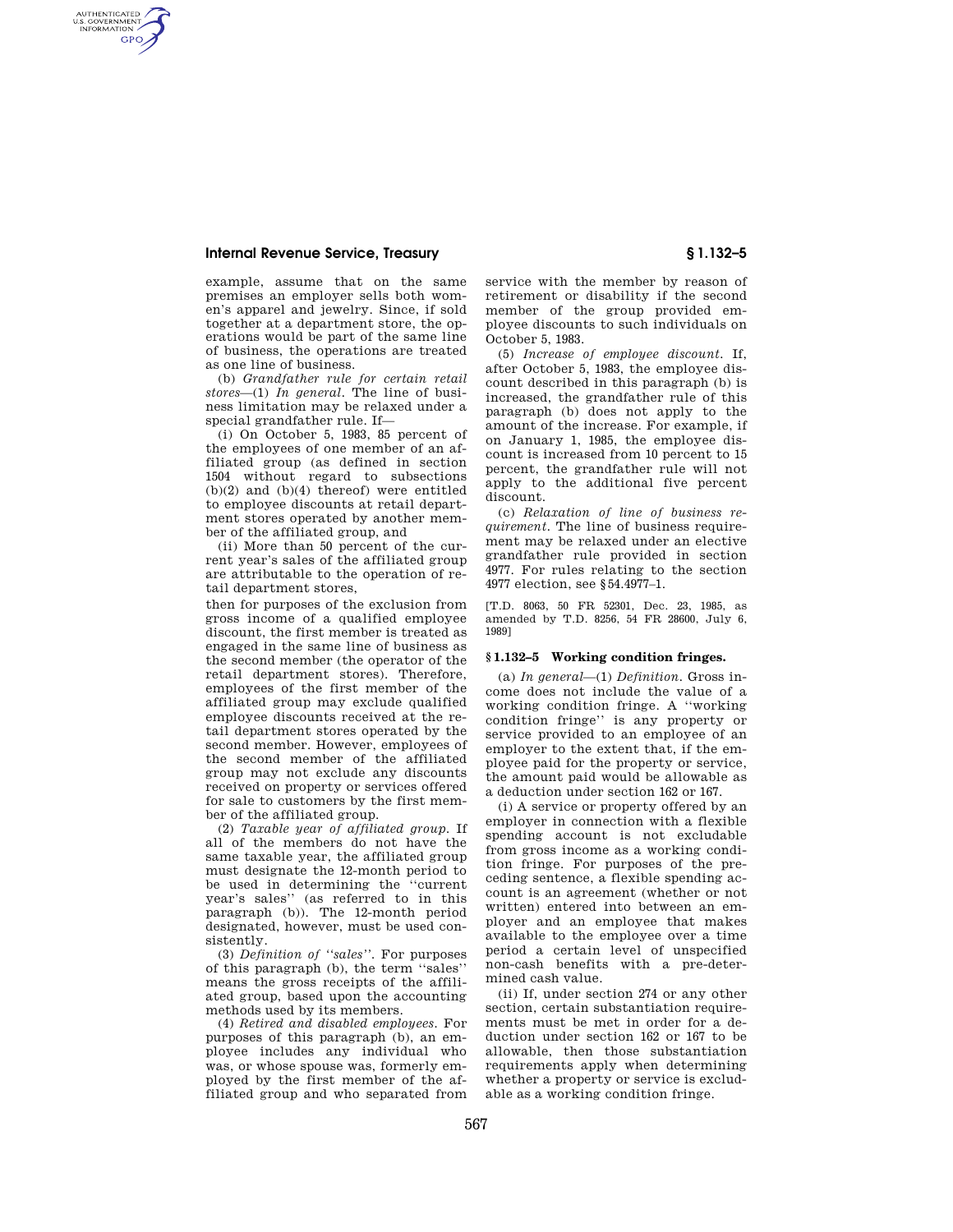AUTHENTICATED<br>U.S. GOVERNMENT<br>INFORMATION **GPO** 

> example, assume that on the same premises an employer sells both women's apparel and jewelry. Since, if sold together at a department store, the operations would be part of the same line of business, the operations are treated as one line of business.

> (b) *Grandfather rule for certain retail stores*—(1) *In general.* The line of business limitation may be relaxed under a special grandfather rule. If—

> (i) On October 5, 1983, 85 percent of the employees of one member of an affiliated group (as defined in section 1504 without regard to subsections  $(b)(2)$  and  $(b)(4)$  thereof) were entitled to employee discounts at retail department stores operated by another member of the affiliated group, and

> (ii) More than 50 percent of the current year's sales of the affiliated group are attributable to the operation of retail department stores,

> then for purposes of the exclusion from gross income of a qualified employee discount, the first member is treated as engaged in the same line of business as the second member (the operator of the retail department stores). Therefore, employees of the first member of the affiliated group may exclude qualified employee discounts received at the retail department stores operated by the second member. However, employees of the second member of the affiliated group may not exclude any discounts received on property or services offered for sale to customers by the first member of the affiliated group.

> (2) *Taxable year of affiliated group.* If all of the members do not have the same taxable year, the affiliated group must designate the 12-month period to be used in determining the ''current year's sales'' (as referred to in this paragraph (b)). The 12-month period designated, however, must be used consistently.

> (3) *Definition of ''sales''.* For purposes of this paragraph (b), the term ''sales'' means the gross receipts of the affiliated group, based upon the accounting methods used by its members.

> (4) *Retired and disabled employees.* For purposes of this paragraph (b), an employee includes any individual who was, or whose spouse was, formerly employed by the first member of the affiliated group and who separated from

service with the member by reason of retirement or disability if the second member of the group provided employee discounts to such individuals on October 5, 1983.

(5) *Increase of employee discount.* If, after October 5, 1983, the employee discount described in this paragraph (b) is increased, the grandfather rule of this paragraph (b) does not apply to the amount of the increase. For example, if on January 1, 1985, the employee discount is increased from 10 percent to 15 percent, the grandfather rule will not apply to the additional five percent discount.

(c) *Relaxation of line of business requirement*. The line of business requirement may be relaxed under an elective grandfather rule provided in section 4977. For rules relating to the section 4977 election, see §54.4977–1.

[T.D. 8063, 50 FR 52301, Dec. 23, 1985, as amended by T.D. 8256, 54 FR 28600, July 6, 1989]

# **§ 1.132–5 Working condition fringes.**

(a) *In general*—(1) *Definition.* Gross income does not include the value of a working condition fringe. A ''working condition fringe'' is any property or service provided to an employee of an employer to the extent that, if the employee paid for the property or service, the amount paid would be allowable as a deduction under section 162 or 167.

(i) A service or property offered by an employer in connection with a flexible spending account is not excludable from gross income as a working condition fringe. For purposes of the preceding sentence, a flexible spending account is an agreement (whether or not written) entered into between an employer and an employee that makes available to the employee over a time period a certain level of unspecified non-cash benefits with a pre-determined cash value.

(ii) If, under section 274 or any other section, certain substantiation requirements must be met in order for a deduction under section 162 or 167 to be allowable, then those substantiation requirements apply when determining whether a property or service is excludable as a working condition fringe.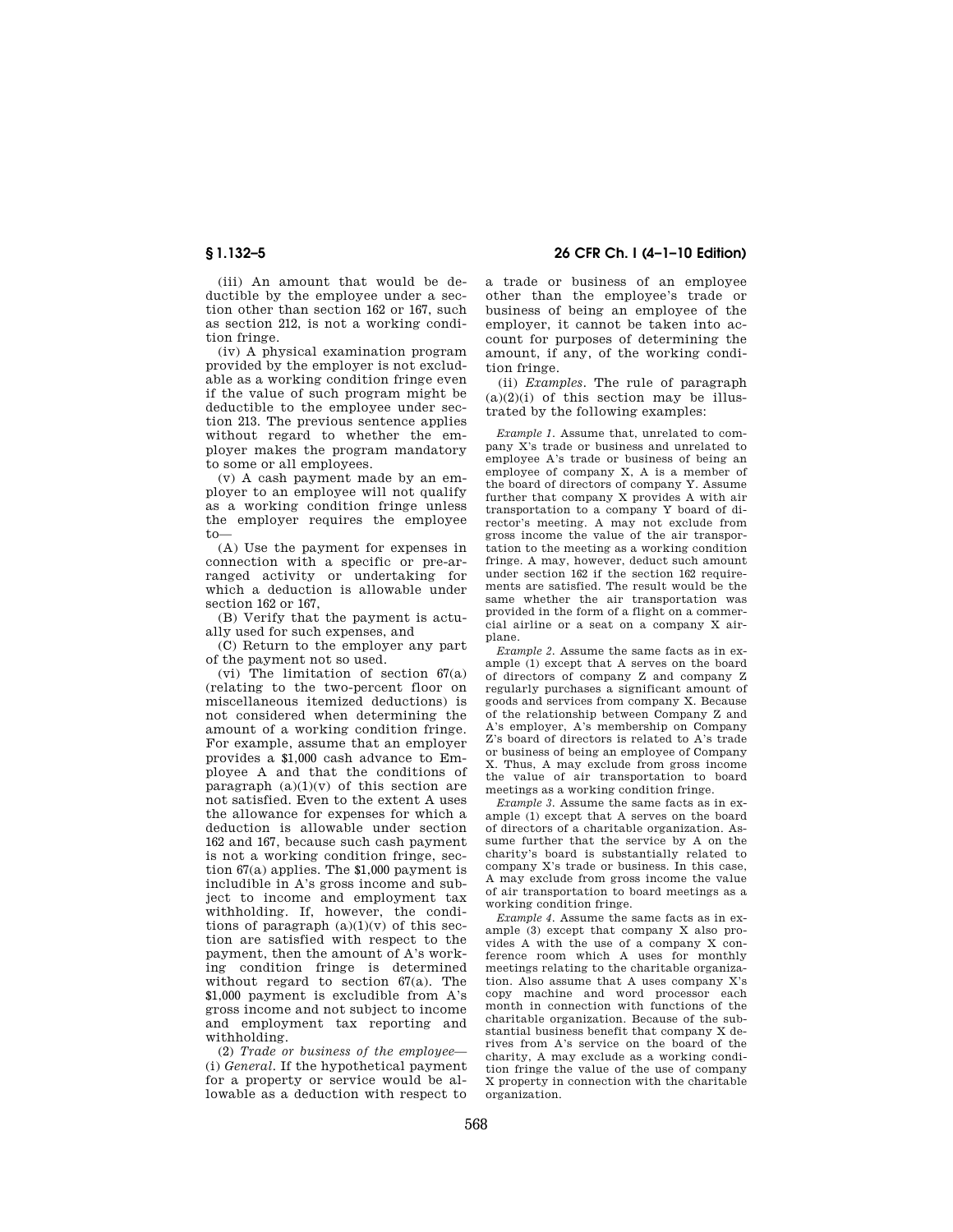(iii) An amount that would be deductible by the employee under a section other than section 162 or 167, such as section 212, is not a working condition fringe.

(iv) A physical examination program provided by the employer is not excludable as a working condition fringe even if the value of such program might be deductible to the employee under section 213. The previous sentence applies without regard to whether the employer makes the program mandatory to some or all employees.

(v) A cash payment made by an employer to an employee will not qualify as a working condition fringe unless the employer requires the employee to—

(A) Use the payment for expenses in connection with a specific or pre-arranged activity or undertaking for which a deduction is allowable under section 162 or 167,

(B) Verify that the payment is actually used for such expenses, and

(C) Return to the employer any part of the payment not so used.

(vi) The limitation of section  $67(a)$ (relating to the two-percent floor on miscellaneous itemized deductions) is not considered when determining the amount of a working condition fringe. For example, assume that an employer provides a \$1,000 cash advance to Employee A and that the conditions of paragraph  $(a)(1)(y)$  of this section are not satisfied. Even to the extent A uses the allowance for expenses for which a deduction is allowable under section 162 and 167, because such cash payment is not a working condition fringe, section 67(a) applies. The \$1,000 payment is includible in A's gross income and subject to income and employment tax withholding. If, however, the conditions of paragraph  $(a)(1)(v)$  of this section are satisfied with respect to the payment, then the amount of A's working condition fringe is determined without regard to section 67(a). The \$1,000 payment is excludible from A's gross income and not subject to income and employment tax reporting and withholding.

(2) *Trade or business of the employee*— (i) *General.* If the hypothetical payment for a property or service would be allowable as a deduction with respect to

**§ 1.132–5 26 CFR Ch. I (4–1–10 Edition)** 

a trade or business of an employee other than the employee's trade or business of being an employee of the employer, it cannot be taken into account for purposes of determining the amount, if any, of the working condition fringe.

(ii) *Examples.* The rule of paragraph  $(a)(2)(i)$  of this section may be illustrated by the following examples:

*Example 1.* Assume that, unrelated to company X's trade or business and unrelated to employee A's trade or business of being an employee of company X, A is a member of the board of directors of company Y. Assume further that company X provides A with air transportation to a company Y board of director's meeting. A may not exclude from gross income the value of the air transportation to the meeting as a working condition fringe. A may, however, deduct such amount under section 162 if the section 162 requirements are satisfied. The result would be the same whether the air transportation was provided in the form of a flight on a commercial airline or a seat on a company X airplane.

*Example 2.* Assume the same facts as in example (1) except that A serves on the board of directors of company Z and company Z regularly purchases a significant amount of goods and services from company X. Because of the relationship between Company Z and A's employer, A's membership on Company Z's board of directors is related to A's trade or business of being an employee of Company X. Thus, A may exclude from gross income the value of air transportation to board meetings as a working condition fringe.

*Example 3.* Assume the same facts as in example (1) except that A serves on the board of directors of a charitable organization. Assume further that the service by A on the charity's board is substantially related to company X's trade or business. In this case, A may exclude from gross income the value of air transportation to board meetings as a working condition fringe.

*Example 4.* Assume the same facts as in example (3) except that company X also provides A with the use of a company X conference room which A uses for monthly meetings relating to the charitable organization. Also assume that A uses company X's copy machine and word processor each month in connection with functions of the charitable organization. Because of the substantial business benefit that company X derives from A's service on the board of the charity, A may exclude as a working condition fringe the value of the use of company X property in connection with the charitable organization.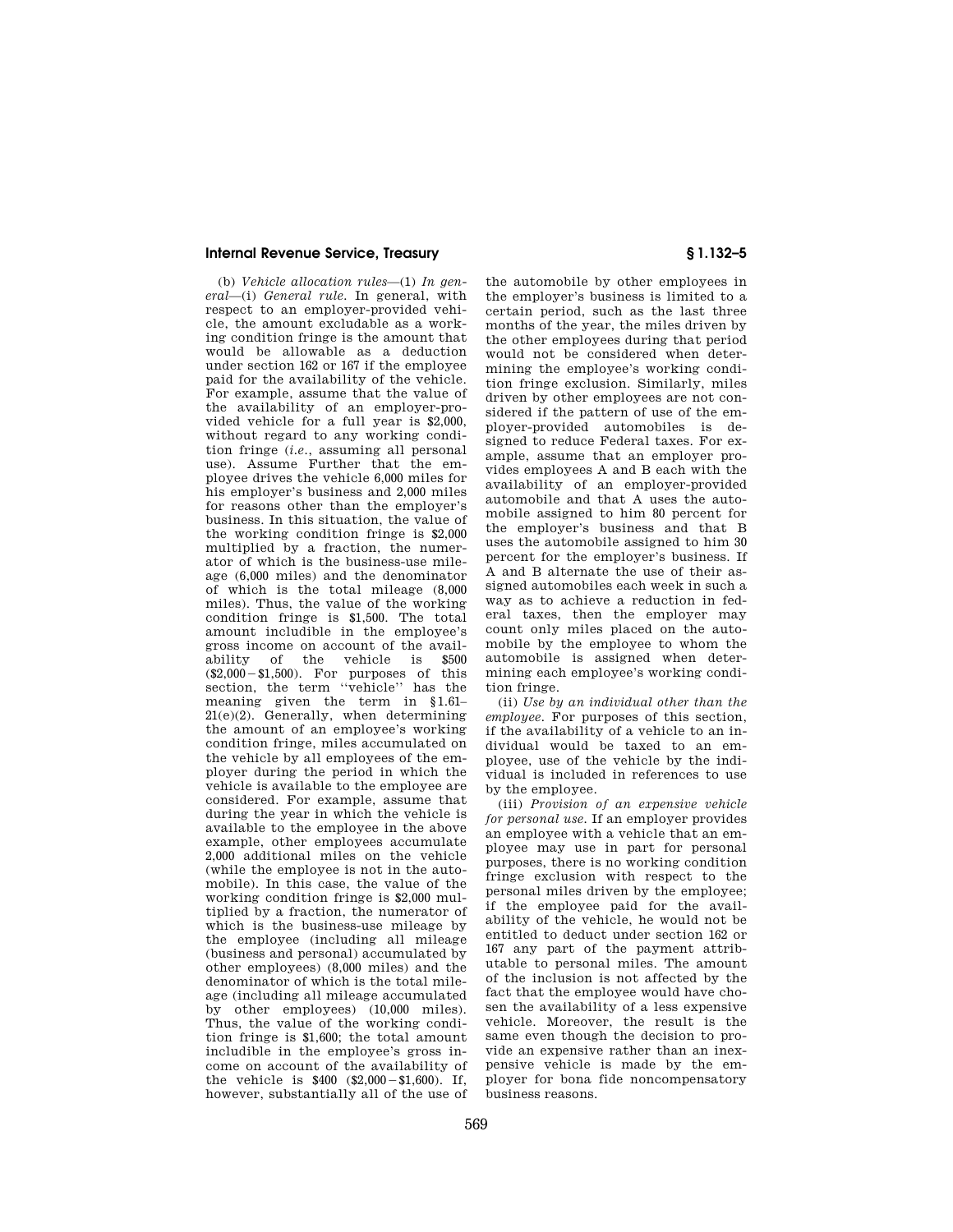(b) *Vehicle allocation rules*—(1) *In general*—(i) *General rule.* In general, with respect to an employer-provided vehicle, the amount excludable as a working condition fringe is the amount that would be allowable as a deduction under section 162 or 167 if the employee paid for the availability of the vehicle. For example, assume that the value of the availability of an employer-provided vehicle for a full year is \$2,000, without regard to any working condition fringe (*i.e.*, assuming all personal use). Assume Further that the employee drives the vehicle 6,000 miles for his employer's business and 2,000 miles for reasons other than the employer's business. In this situation, the value of the working condition fringe is \$2,000 multiplied by a fraction, the numerator of which is the business-use mileage (6,000 miles) and the denominator of which is the total mileage (8,000 miles). Thus, the value of the working condition fringe is \$1,500. The total amount includible in the employee's gross income on account of the availability of the vehicle is \$500 ability of the vehicle is  $(\$2,000 - \$1,500)$ . For purposes of this section, the term "vehicle" has the meaning given the term in §1.61–  $21(e)(2)$ . Generally, when determining the amount of an employee's working condition fringe, miles accumulated on the vehicle by all employees of the employer during the period in which the vehicle is available to the employee are considered. For example, assume that during the year in which the vehicle is available to the employee in the above example, other employees accumulate 2,000 additional miles on the vehicle (while the employee is not in the automobile). In this case, the value of the working condition fringe is \$2,000 multiplied by a fraction, the numerator of which is the business-use mileage by the employee (including all mileage (business and personal) accumulated by other employees) (8,000 miles) and the denominator of which is the total mileage (including all mileage accumulated by other employees) (10,000 miles). Thus, the value of the working condition fringe is \$1,600; the total amount includible in the employee's gross income on account of the availability of the vehicle is  $$400$   $$2,000 - $1,600$ . If, however, substantially all of the use of

the automobile by other employees in the employer's business is limited to a certain period, such as the last three months of the year, the miles driven by the other employees during that period would not be considered when determining the employee's working condition fringe exclusion. Similarly, miles driven by other employees are not considered if the pattern of use of the employer-provided automobiles is designed to reduce Federal taxes. For example, assume that an employer provides employees A and B each with the availability of an employer-provided automobile and that A uses the automobile assigned to him 80 percent for the employer's business and that B uses the automobile assigned to him 30 percent for the employer's business. If A and B alternate the use of their assigned automobiles each week in such a way as to achieve a reduction in federal taxes, then the employer may count only miles placed on the automobile by the employee to whom the automobile is assigned when determining each employee's working condition fringe.

(ii) *Use by an individual other than the employee.* For purposes of this section, if the availability of a vehicle to an individual would be taxed to an employee, use of the vehicle by the individual is included in references to use by the employee.

(iii) *Provision of an expensive vehicle for personal use.* If an employer provides an employee with a vehicle that an employee may use in part for personal purposes, there is no working condition fringe exclusion with respect to the personal miles driven by the employee; if the employee paid for the availability of the vehicle, he would not be entitled to deduct under section 162 or 167 any part of the payment attributable to personal miles. The amount of the inclusion is not affected by the fact that the employee would have chosen the availability of a less expensive vehicle. Moreover, the result is the same even though the decision to provide an expensive rather than an inexpensive vehicle is made by the employer for bona fide noncompensatory business reasons.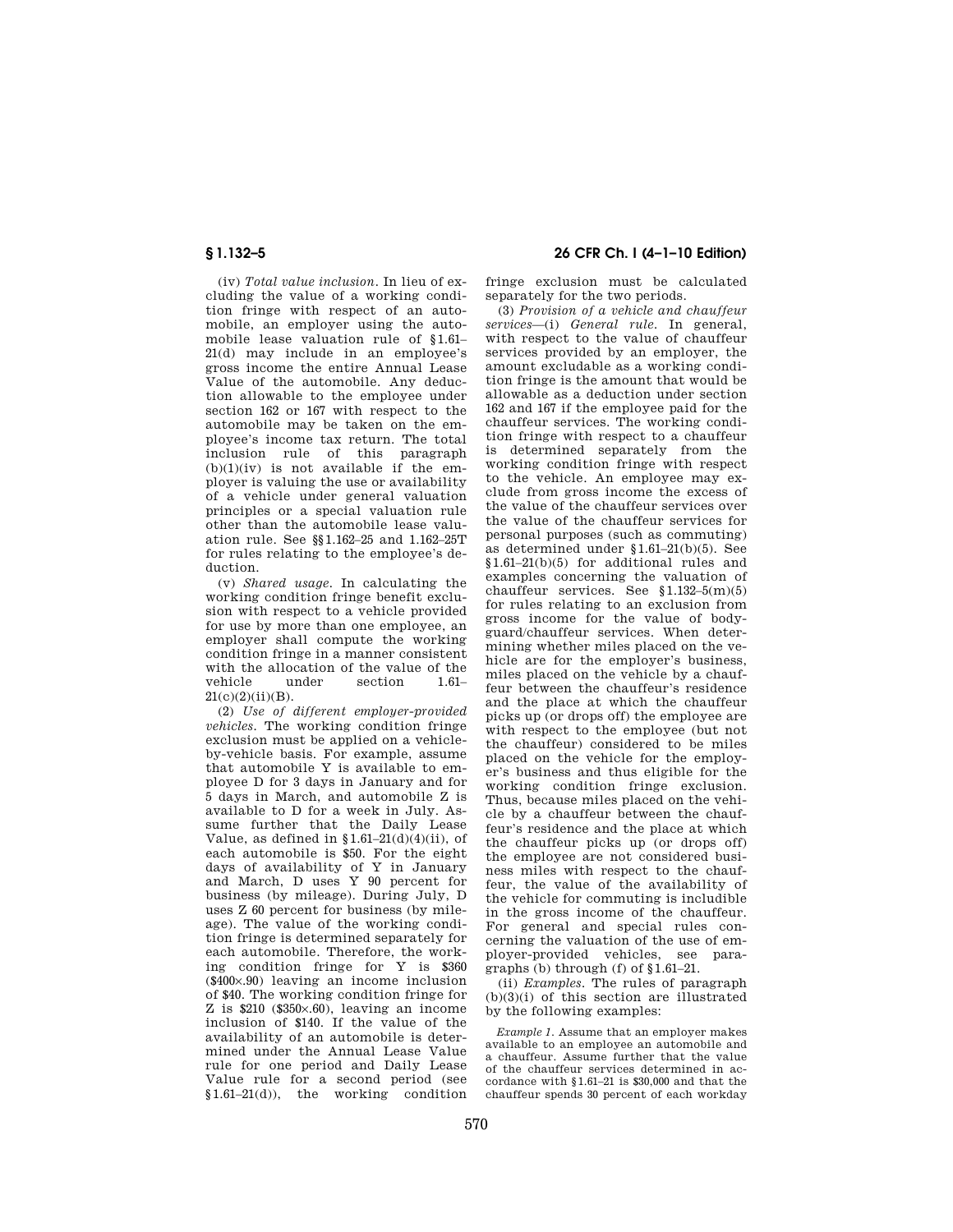(iv) *Total value inclusion.* In lieu of excluding the value of a working condition fringe with respect of an automobile, an employer using the automobile lease valuation rule of §1.61– 21(d) may include in an employee's gross income the entire Annual Lease Value of the automobile. Any deduction allowable to the employee under section 162 or 167 with respect to the automobile may be taken on the employee's income tax return. The total inclusion rule of this paragraph  $(b)(1)(iv)$  is not available if the employer is valuing the use or availability of a vehicle under general valuation principles or a special valuation rule other than the automobile lease valuation rule. See §§1.162–25 and 1.162–25T for rules relating to the employee's deduction.

(v) *Shared usage.* In calculating the working condition fringe benefit exclusion with respect to a vehicle provided for use by more than one employee, an employer shall compute the working condition fringe in a manner consistent with the allocation of the value of the<br>vehicle under section  $1.61$ section 1.61–  $21(c)(2)(ii)(B)$ .

(2) *Use of different employer-provided vehicles.* The working condition fringe exclusion must be applied on a vehicleby-vehicle basis. For example, assume that automobile Y is available to employee D for 3 days in January and for 5 days in March, and automobile Z is available to D for a week in July. Assume further that the Daily Lease Value, as defined in  $1.61-21(d)(4)(ii)$ , of each automobile is \$50. For the eight days of availability of Y in January and March, D uses Y 90 percent for business (by mileage). During July, D uses Z 60 percent for business (by mileage). The value of the working condition fringe is determined separately for each automobile. Therefore, the working condition fringe for Y is \$360 (\$400×.90) leaving an income inclusion of \$40. The working condition fringe for Z is \$210 (\$350×.60), leaving an income inclusion of \$140. If the value of the availability of an automobile is determined under the Annual Lease Value rule for one period and Daily Lease Value rule for a second period (see  $$1.61-21(d)$ , the working condition

# **§ 1.132–5 26 CFR Ch. I (4–1–10 Edition)**

fringe exclusion must be calculated separately for the two periods.

(3) *Provision of a vehicle and chauffeur services*—(i) *General rule.* In general, with respect to the value of chauffeur services provided by an employer, the amount excludable as a working condition fringe is the amount that would be allowable as a deduction under section 162 and 167 if the employee paid for the chauffeur services. The working condition fringe with respect to a chauffeur is determined separately from the working condition fringe with respect to the vehicle. An employee may exclude from gross income the excess of the value of the chauffeur services over the value of the chauffeur services for personal purposes (such as commuting) as determined under §1.61–21(b)(5). See §1.61–21(b)(5) for additional rules and examples concerning the valuation of chauffeur services. See §1.132–5(m)(5) for rules relating to an exclusion from gross income for the value of bodyguard/chauffeur services. When determining whether miles placed on the vehicle are for the employer's business, miles placed on the vehicle by a chauffeur between the chauffeur's residence and the place at which the chauffeur picks up (or drops off) the employee are with respect to the employee (but not the chauffeur) considered to be miles placed on the vehicle for the employer's business and thus eligible for the working condition fringe exclusion. Thus, because miles placed on the vehicle by a chauffeur between the chauffeur's residence and the place at which the chauffeur picks up (or drops off) the employee are not considered business miles with respect to the chauffeur, the value of the availability of the vehicle for commuting is includible in the gross income of the chauffeur. For general and special rules concerning the valuation of the use of employer-provided vehicles, see paragraphs (b) through (f) of §1.61–21.

(ii) *Examples.* The rules of paragraph  $(b)(3)(i)$  of this section are illustrated by the following examples:

*Example 1.* Assume that an employer makes available to an employee an automobile and a chauffeur. Assume further that the value of the chauffeur services determined in accordance with §1.61–21 is \$30,000 and that the chauffeur spends 30 percent of each workday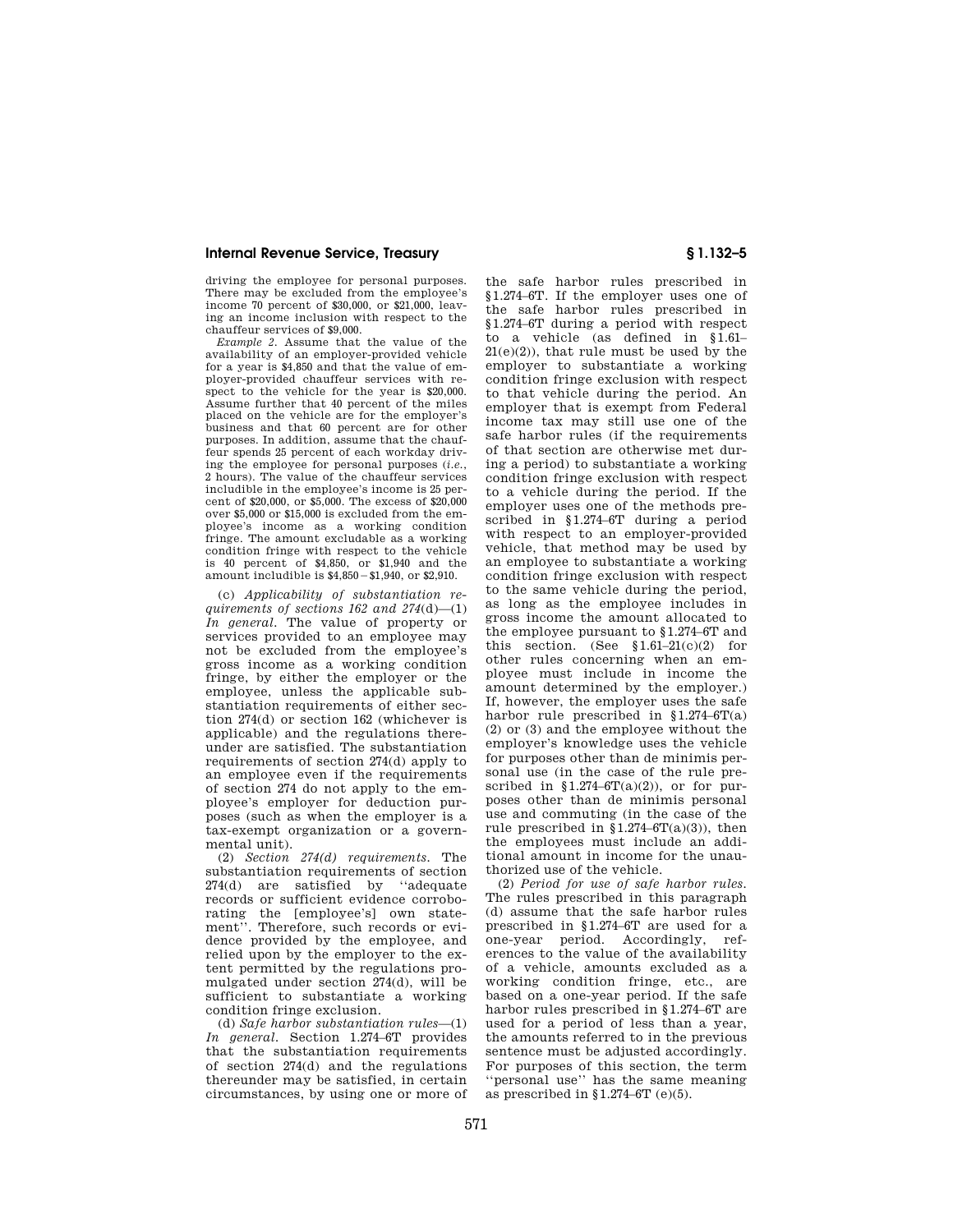driving the employee for personal purposes. There may be excluded from the employee's income 70 percent of \$30,000, or \$21,000, leaving an income inclusion with respect to the chauffeur services of \$9,000.

*Example 2.* Assume that the value of the availability of an employer-provided vehicle for a year is \$4,850 and that the value of employer-provided chauffeur services with respect to the vehicle for the year is \$20,000. Assume further that 40 percent of the miles placed on the vehicle are for the employer's business and that 60 percent are for other purposes. In addition, assume that the chauffeur spends 25 percent of each workday driving the employee for personal purposes (*i.e.*, 2 hours). The value of the chauffeur services includible in the employee's income is 25 percent of \$20,000, or \$5,000. The excess of \$20,000 over \$5,000 or \$15,000 is excluded from the employee's income as a working condition fringe. The amount excludable as a working condition fringe with respect to the vehicle is 40 percent of \$4,850, or \$1,940 and the amount includible is  $$4,850 - $1,940$ , or  $$2,910$ .

(c) *Applicability of substantiation requirements of sections 162 and 274*(d)—(1) *In general.* The value of property or services provided to an employee may not be excluded from the employee's gross income as a working condition fringe, by either the employer or the employee, unless the applicable substantiation requirements of either section 274(d) or section 162 (whichever is applicable) and the regulations thereunder are satisfied. The substantiation requirements of section 274(d) apply to an employee even if the requirements of section 274 do not apply to the employee's employer for deduction purposes (such as when the employer is a tax-exempt organization or a governmental unit).

(2) *Section 274(d) requirements.* The substantiation requirements of section 274(d) are satisfied by ''adequate records or sufficient evidence corroborating the [employee's] own statement''. Therefore, such records or evidence provided by the employee, and relied upon by the employer to the extent permitted by the regulations promulgated under section 274(d), will be sufficient to substantiate a working condition fringe exclusion.

(d) *Safe harbor substantiation rules*—(1) *In general.* Section 1.274–6T provides that the substantiation requirements of section 274(d) and the regulations thereunder may be satisfied, in certain circumstances, by using one or more of

the safe harbor rules prescribed in §1.274–6T. If the employer uses one of the safe harbor rules prescribed in §1.274–6T during a period with respect to a vehicle (as defined in §1.61–  $21(e)(2)$ , that rule must be used by the employer to substantiate a working condition fringe exclusion with respect to that vehicle during the period. An employer that is exempt from Federal income tax may still use one of the safe harbor rules (if the requirements of that section are otherwise met during a period) to substantiate a working condition fringe exclusion with respect to a vehicle during the period. If the employer uses one of the methods prescribed in §1.274–6T during a period with respect to an employer-provided vehicle, that method may be used by an employee to substantiate a working condition fringe exclusion with respect to the same vehicle during the period, as long as the employee includes in gross income the amount allocated to the employee pursuant to §1.274–6T and this section. (See  $$1.61-21(c)(2)$  for other rules concerning when an employee must include in income the amount determined by the employer.) If, however, the employer uses the safe harbor rule prescribed in §1.274–6T(a) (2) or (3) and the employee without the employer's knowledge uses the vehicle for purposes other than de minimis personal use (in the case of the rule prescribed in  $$1.274–6T(a)(2)$ , or for purposes other than de minimis personal use and commuting (in the case of the rule prescribed in  $$1.274-6T(a)(3)$ , then the employees must include an additional amount in income for the unauthorized use of the vehicle.

(2) *Period for use of safe harbor rules.*  The rules prescribed in this paragraph (d) assume that the safe harbor rules prescribed in §1.274–6T are used for a one-year period. Accordingly, references to the value of the availability of a vehicle, amounts excluded as a working condition fringe, etc., are based on a one-year period. If the safe harbor rules prescribed in §1.274–6T are used for a period of less than a year, the amounts referred to in the previous sentence must be adjusted accordingly. For purposes of this section, the term ''personal use'' has the same meaning as prescribed in  $\S 1.274 - 6T$  (e)(5).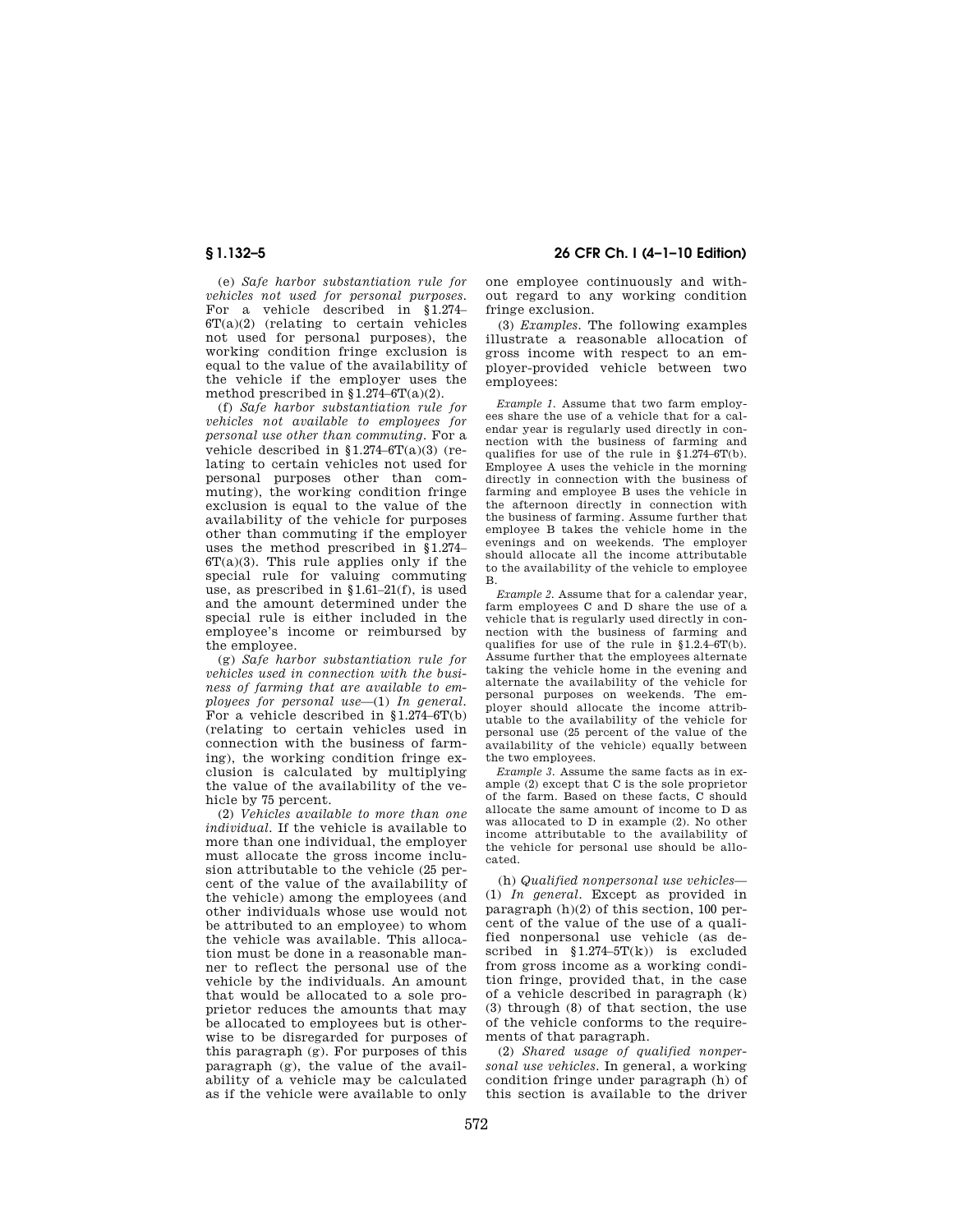(e) *Safe harbor substantiation rule for vehicles not used for personal purposes.*  For a vehicle described in §1.274–  $6T(a)(2)$  (relating to certain vehicles not used for personal purposes), the working condition fringe exclusion is equal to the value of the availability of the vehicle if the employer uses the method prescribed in  $$1.274-6T(a)(2)$ .

(f) *Safe harbor substantiation rule for vehicles not available to employees for personal use other than commuting.* For a vehicle described in §1.274–6T(a)(3) (relating to certain vehicles not used for personal purposes other than commuting), the working condition fringe exclusion is equal to the value of the availability of the vehicle for purposes other than commuting if the employer uses the method prescribed in §1.274–  $6T(a)(3)$ . This rule applies only if the special rule for valuing commuting use, as prescribed in  $\{1.61-21(f)\}\;$  is used and the amount determined under the special rule is either included in the employee's income or reimbursed by the employee.

(g) *Safe harbor substantiation rule for vehicles used in connection with the business of farming that are available to employees for personal use*—(1) *In general.*  For a vehicle described in §1.274–6T(b) (relating to certain vehicles used in connection with the business of farming), the working condition fringe exclusion is calculated by multiplying the value of the availability of the vehicle by 75 percent.

(2) *Vehicles available to more than one individual.* If the vehicle is available to more than one individual, the employer must allocate the gross income inclusion attributable to the vehicle (25 percent of the value of the availability of the vehicle) among the employees (and other individuals whose use would not be attributed to an employee) to whom the vehicle was available. This allocation must be done in a reasonable manner to reflect the personal use of the vehicle by the individuals. An amount that would be allocated to a sole proprietor reduces the amounts that may be allocated to employees but is otherwise to be disregarded for purposes of this paragraph (g). For purposes of this paragraph (g), the value of the availability of a vehicle may be calculated as if the vehicle were available to only

# **§ 1.132–5 26 CFR Ch. I (4–1–10 Edition)**

one employee continuously and without regard to any working condition fringe exclusion.

(3) *Examples.* The following examples illustrate a reasonable allocation of gross income with respect to an employer-provided vehicle between two employees:

*Example 1.* Assume that two farm employees share the use of a vehicle that for a calendar year is regularly used directly in connection with the business of farming and qualifies for use of the rule in §1.274–6T(b). Employee A uses the vehicle in the morning directly in connection with the business of farming and employee B uses the vehicle in the afternoon directly in connection with the business of farming. Assume further that employee B takes the vehicle home in the evenings and on weekends. The employer should allocate all the income attributable to the availability of the vehicle to employee B.

*Example 2.* Assume that for a calendar year, farm employees C and D share the use of a vehicle that is regularly used directly in connection with the business of farming and qualifies for use of the rule in §1.2.4–6T(b). Assume further that the employees alternate taking the vehicle home in the evening and alternate the availability of the vehicle for personal purposes on weekends. The employer should allocate the income attributable to the availability of the vehicle for personal use (25 percent of the value of the availability of the vehicle) equally between the two employees.

*Example 3.* Assume the same facts as in example (2) except that C is the sole proprietor of the farm. Based on these facts, C should allocate the same amount of income to D as was allocated to D in example (2). No other income attributable to the availability of the vehicle for personal use should be allocated.

(h) *Qualified nonpersonal use vehicles*— (1) *In general.* Except as provided in paragraph (h)(2) of this section, 100 percent of the value of the use of a qualified nonpersonal use vehicle (as described in  $$1.274-5T(k)$  is excluded from gross income as a working condition fringe, provided that, in the case of a vehicle described in paragraph (k) (3) through (8) of that section, the use of the vehicle conforms to the requirements of that paragraph.

(2) *Shared usage of qualified nonpersonal use vehicles.* In general, a working condition fringe under paragraph (h) of this section is available to the driver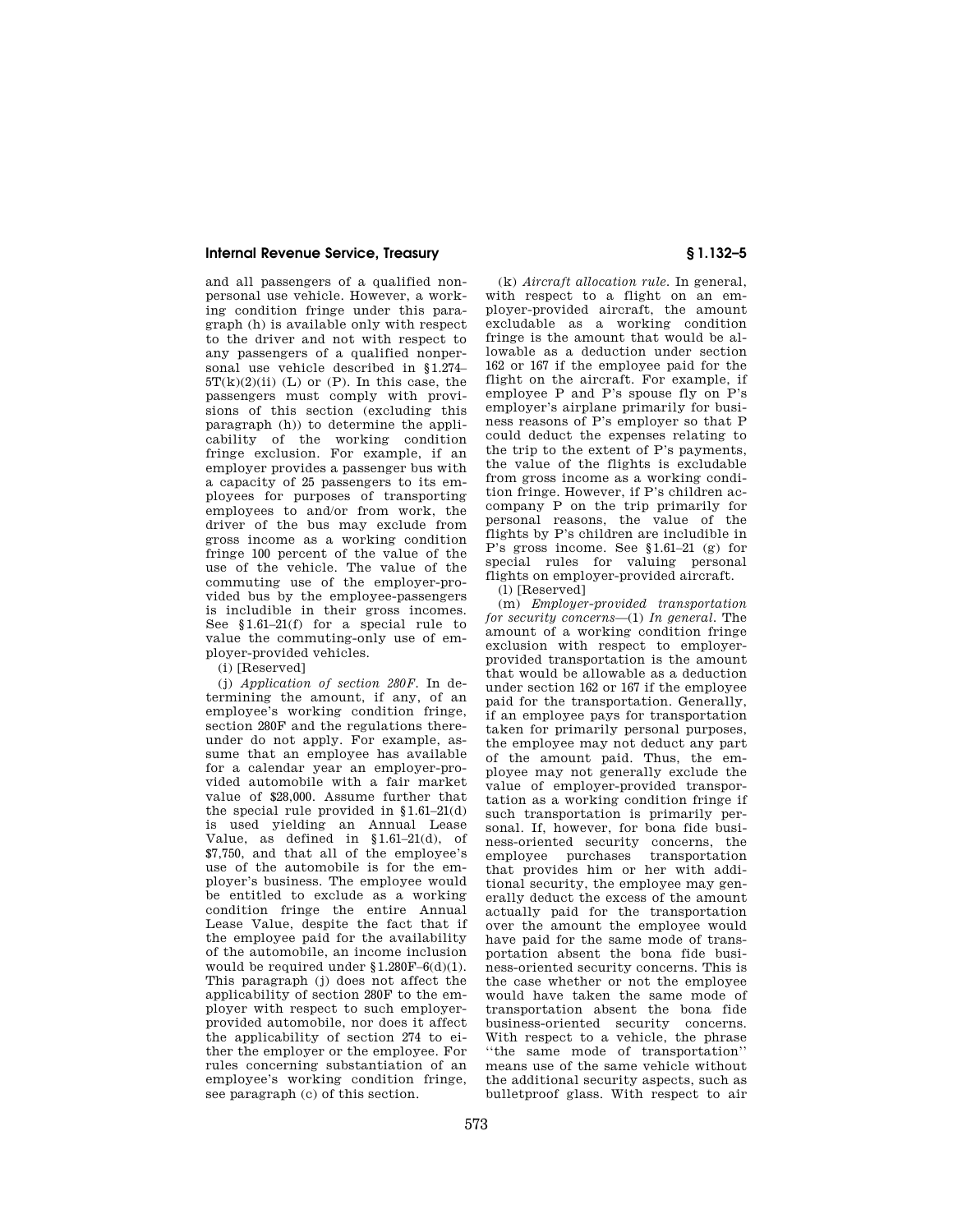and all passengers of a qualified nonpersonal use vehicle. However, a working condition fringe under this paragraph (h) is available only with respect to the driver and not with respect to any passengers of a qualified nonpersonal use vehicle described in §1.274–  $5T(k)(2)(ii)$  (L) or (P). In this case, the passengers must comply with provisions of this section (excluding this paragraph (h)) to determine the applicability of the working condition fringe exclusion. For example, if an employer provides a passenger bus with a capacity of 25 passengers to its employees for purposes of transporting employees to and/or from work, the driver of the bus may exclude from gross income as a working condition fringe 100 percent of the value of the use of the vehicle. The value of the commuting use of the employer-provided bus by the employee-passengers is includible in their gross incomes. See §1.61–21(f) for a special rule to value the commuting-only use of employer-provided vehicles.

(i) [Reserved]

(j) *Application of section 280F.* In determining the amount, if any, of an employee's working condition fringe, section 280F and the regulations thereunder do not apply. For example, assume that an employee has available for a calendar year an employer-provided automobile with a fair market value of \$28,000. Assume further that the special rule provided in §1.61–21(d) is used yielding an Annual Lease Value, as defined in §1.61–21(d), of \$7,750, and that all of the employee's use of the automobile is for the employer's business. The employee would be entitled to exclude as a working condition fringe the entire Annual Lease Value, despite the fact that if the employee paid for the availability of the automobile, an income inclusion would be required under  $$1.280F-6(d)(1)$ . This paragraph (j) does not affect the applicability of section 280F to the employer with respect to such employerprovided automobile, nor does it affect the applicability of section 274 to either the employer or the employee. For rules concerning substantiation of an employee's working condition fringe, see paragraph (c) of this section.

(k) *Aircraft allocation rule.* In general, with respect to a flight on an employer-provided aircraft, the amount excludable as a working condition fringe is the amount that would be allowable as a deduction under section 162 or 167 if the employee paid for the flight on the aircraft. For example, if employee P and P's spouse fly on P's employer's airplane primarily for business reasons of P's employer so that P could deduct the expenses relating to the trip to the extent of P's payments, the value of the flights is excludable from gross income as a working condition fringe. However, if P's children accompany P on the trip primarily for personal reasons, the value of the flights by P's children are includible in P's gross income. See §1.61–21 (g) for special rules for valuing personal flights on employer-provided aircraft.

(l) [Reserved]

(m) *Employer-provided transportation for security concerns*—(1) *In general.* The amount of a working condition fringe exclusion with respect to employerprovided transportation is the amount that would be allowable as a deduction under section 162 or 167 if the employee paid for the transportation. Generally, if an employee pays for transportation taken for primarily personal purposes, the employee may not deduct any part of the amount paid. Thus, the employee may not generally exclude the value of employer-provided transportation as a working condition fringe if such transportation is primarily personal. If, however, for bona fide business-oriented security concerns, the<br>employee purchases transportation employee purchases that provides him or her with additional security, the employee may generally deduct the excess of the amount actually paid for the transportation over the amount the employee would have paid for the same mode of transportation absent the bona fide business-oriented security concerns. This is the case whether or not the employee would have taken the same mode of transportation absent the bona fide business-oriented security concerns. With respect to a vehicle, the phrase ''the same mode of transportation'' means use of the same vehicle without the additional security aspects, such as bulletproof glass. With respect to air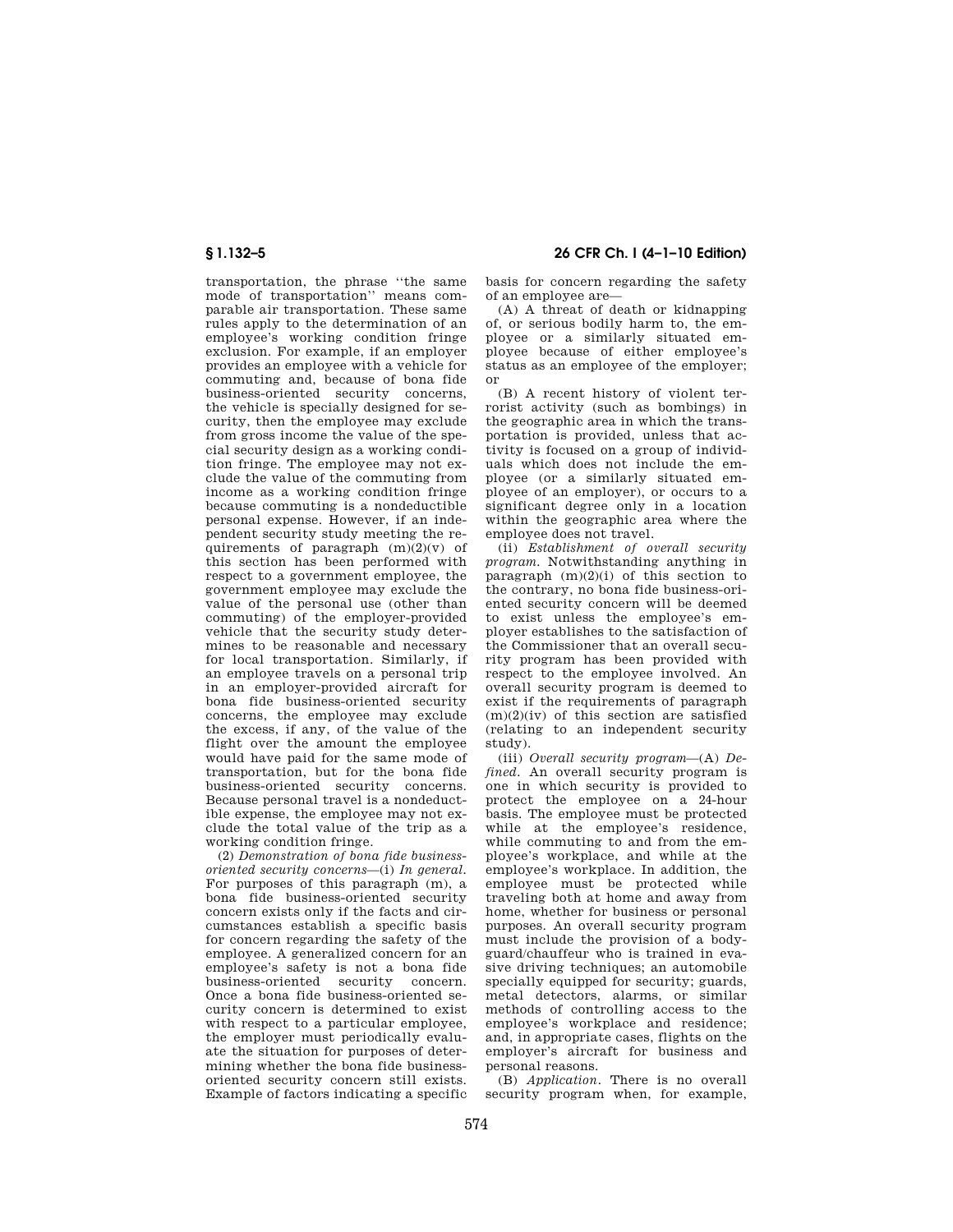transportation, the phrase ''the same mode of transportation'' means comparable air transportation. These same rules apply to the determination of an employee's working condition fringe exclusion. For example, if an employer provides an employee with a vehicle for commuting and, because of bona fide business-oriented security concerns, the vehicle is specially designed for security, then the employee may exclude from gross income the value of the special security design as a working condition fringe. The employee may not exclude the value of the commuting from income as a working condition fringe because commuting is a nondeductible personal expense. However, if an independent security study meeting the requirements of paragraph  $(m)(2)(v)$  of this section has been performed with respect to a government employee, the government employee may exclude the value of the personal use (other than commuting) of the employer-provided vehicle that the security study determines to be reasonable and necessary for local transportation. Similarly, if an employee travels on a personal trip in an employer-provided aircraft for bona fide business-oriented security concerns, the employee may exclude the excess, if any, of the value of the flight over the amount the employee would have paid for the same mode of transportation, but for the bona fide business-oriented security concerns. Because personal travel is a nondeductible expense, the employee may not exclude the total value of the trip as a working condition fringe.

(2) *Demonstration of bona fide businessoriented security concerns*—(i) *In general.*  For purposes of this paragraph (m), a bona fide business-oriented security concern exists only if the facts and circumstances establish a specific basis for concern regarding the safety of the employee. A generalized concern for an employee's safety is not a bona fide business-oriented security Once a bona fide business-oriented security concern is determined to exist with respect to a particular employee. the employer must periodically evaluate the situation for purposes of determining whether the bona fide businessoriented security concern still exists. Example of factors indicating a specific

**§ 1.132–5 26 CFR Ch. I (4–1–10 Edition)** 

basis for concern regarding the safety of an employee are—

(A) A threat of death or kidnapping of, or serious bodily harm to, the employee or a similarly situated employee because of either employee's status as an employee of the employer; or

(B) A recent history of violent terrorist activity (such as bombings) in the geographic area in which the transportation is provided, unless that activity is focused on a group of individuals which does not include the employee (or a similarly situated employee of an employer), or occurs to a significant degree only in a location within the geographic area where the employee does not travel.

(ii) *Establishment of overall security program.* Notwithstanding anything in paragraph  $(m)(2)(i)$  of this section to the contrary, no bona fide business-oriented security concern will be deemed to exist unless the employee's employer establishes to the satisfaction of the Commissioner that an overall security program has been provided with respect to the employee involved. An overall security program is deemed to exist if the requirements of paragraph (m)(2)(iv) of this section are satisfied (relating to an independent security study).

(iii) *Overall security program*—(A) *Defined.* An overall security program is one in which security is provided to protect the employee on a 24-hour basis. The employee must be protected while at the employee's residence, while commuting to and from the employee's workplace, and while at the employee's workplace. In addition, the employee must be protected while traveling both at home and away from home, whether for business or personal purposes. An overall security program must include the provision of a bodyguard/chauffeur who is trained in evasive driving techniques; an automobile specially equipped for security; guards, metal detectors, alarms, or similar methods of controlling access to the employee's workplace and residence; and, in appropriate cases, flights on the employer's aircraft for business and personal reasons.

(B) *Application.* There is no overall security program when, for example,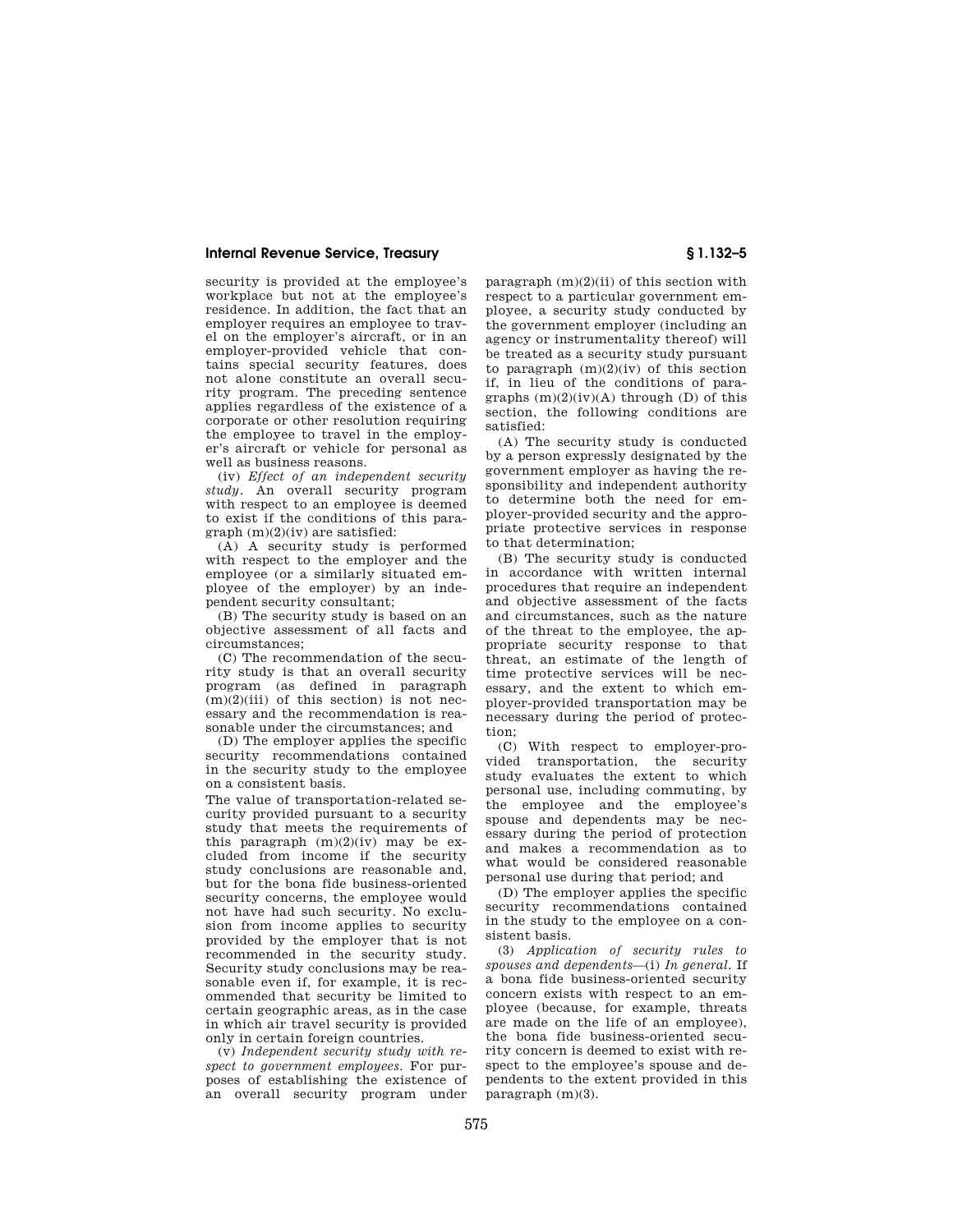security is provided at the employee's workplace but not at the employee's residence. In addition, the fact that an employer requires an employee to travel on the employer's aircraft, or in an employer-provided vehicle that contains special security features, does not alone constitute an overall security program. The preceding sentence applies regardless of the existence of a corporate or other resolution requiring the employee to travel in the employer's aircraft or vehicle for personal as well as business reasons.

(iv) *Effect of an independent security study.* An overall security program with respect to an employee is deemed to exist if the conditions of this paragraph (m)(2)(iv) are satisfied:

(A) A security study is performed with respect to the employer and the employee (or a similarly situated employee of the employer) by an independent security consultant;

(B) The security study is based on an objective assessment of all facts and circumstances;

(C) The recommendation of the security study is that an overall security program (as defined in paragraph  $(m)(2)(iii)$  of this section) is not necessary and the recommendation is reasonable under the circumstances; and

(D) The employer applies the specific security recommendations contained in the security study to the employee on a consistent basis.

The value of transportation-related security provided pursuant to a security study that meets the requirements of this paragraph  $(m)(2)(iv)$  may be excluded from income if the security study conclusions are reasonable and, but for the bona fide business-oriented security concerns, the employee would not have had such security. No exclusion from income applies to security provided by the employer that is not recommended in the security study. Security study conclusions may be reasonable even if, for example, it is recommended that security be limited to certain geographic areas, as in the case in which air travel security is provided only in certain foreign countries.

(v) *Independent security study with respect to government employees.* For purposes of establishing the existence of an overall security program under

paragraph  $(m)(2)(ii)$  of this section with respect to a particular government employee, a security study conducted by the government employer (including an agency or instrumentality thereof) will be treated as a security study pursuant to paragraph (m)(2)(iv) of this section if, in lieu of the conditions of paragraphs  $(m)(2)(iv)(A)$  through  $(D)$  of this section, the following conditions are satisfied:

(A) The security study is conducted by a person expressly designated by the government employer as having the responsibility and independent authority to determine both the need for employer-provided security and the appropriate protective services in response to that determination;

(B) The security study is conducted in accordance with written internal procedures that require an independent and objective assessment of the facts and circumstances, such as the nature of the threat to the employee, the appropriate security response to that threat, an estimate of the length of time protective services will be necessary, and the extent to which employer-provided transportation may be necessary during the period of protection;

(C) With respect to employer-provided transportation, the security study evaluates the extent to which personal use, including commuting, by the employee and the employee's spouse and dependents may be necessary during the period of protection and makes a recommendation as to what would be considered reasonable personal use during that period; and

(D) The employer applies the specific security recommendations contained in the study to the employee on a consistent basis.

(3) *Application of security rules to spouses and dependents*—(i) *In general.* If a bona fide business-oriented security concern exists with respect to an employee (because, for example, threats are made on the life of an employee), the bona fide business-oriented security concern is deemed to exist with respect to the employee's spouse and dependents to the extent provided in this paragraph (m)(3).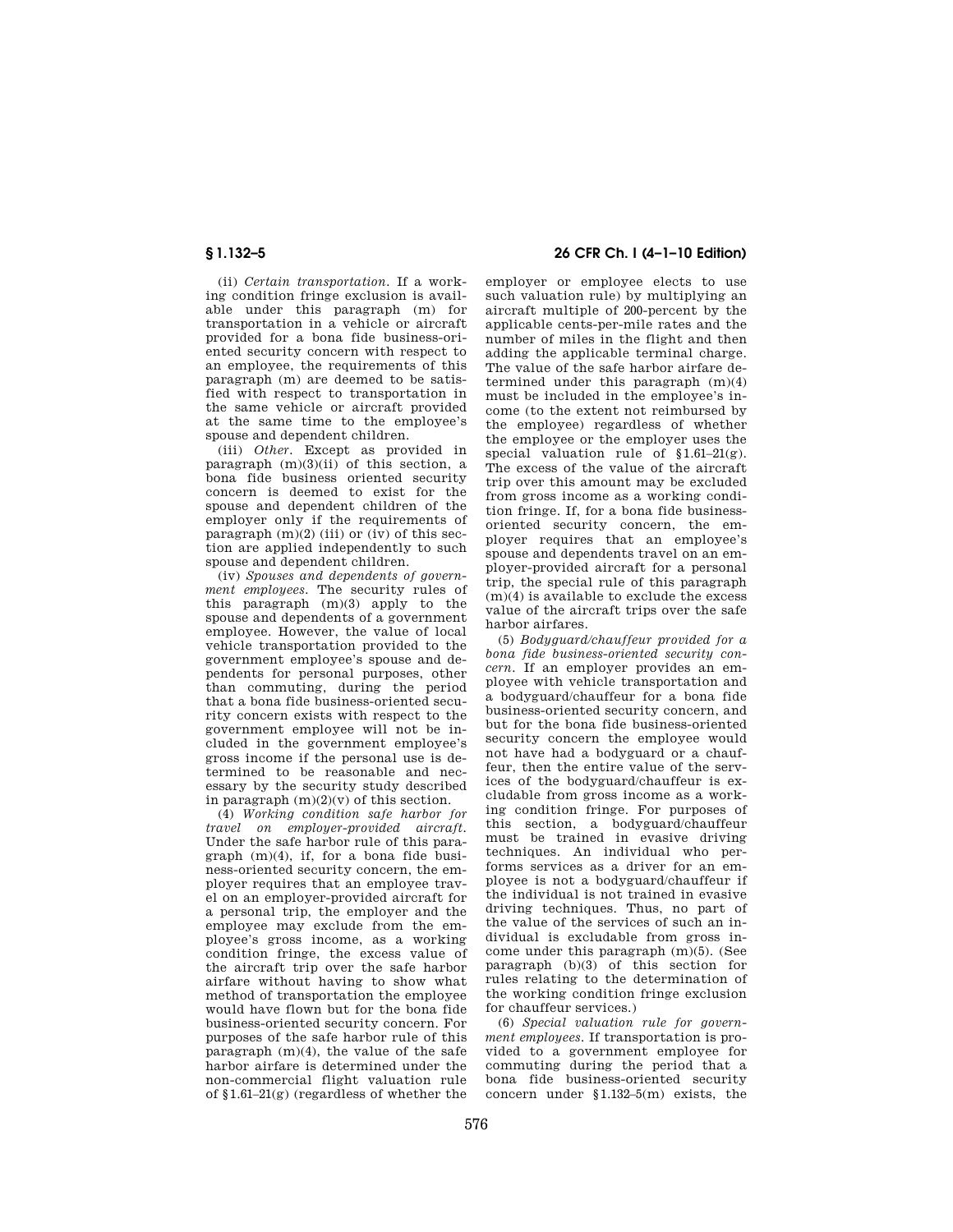(ii) *Certain transportation.* If a working condition fringe exclusion is available under this paragraph (m) for transportation in a vehicle or aircraft provided for a bona fide business-oriented security concern with respect to an employee, the requirements of this paragraph (m) are deemed to be satisfied with respect to transportation in the same vehicle or aircraft provided at the same time to the employee's spouse and dependent children.

(iii) *Other.* Except as provided in paragraph  $(m)(3)(ii)$  of this section, a bona fide business oriented security concern is deemed to exist for the spouse and dependent children of the employer only if the requirements of paragraph  $(m)(2)$  (iii) or (iv) of this section are applied independently to such spouse and dependent children.

(iv) *Spouses and dependents of government employees.* The security rules of this paragraph (m)(3) apply to the spouse and dependents of a government employee. However, the value of local vehicle transportation provided to the government employee's spouse and dependents for personal purposes, other than commuting, during the period that a bona fide business-oriented security concern exists with respect to the government employee will not be included in the government employee's gross income if the personal use is determined to be reasonable and necessary by the security study described in paragraph  $(m)(2)(v)$  of this section.

(4) *Working condition safe harbor for travel on employer-provided aircraft.*  Under the safe harbor rule of this paragraph  $(m)(4)$  if for a bona fide business-oriented security concern, the employer requires that an employee travel on an employer-provided aircraft for a personal trip, the employer and the employee may exclude from the employee's gross income, as a working condition fringe, the excess value of the aircraft trip over the safe harbor airfare without having to show what method of transportation the employee would have flown but for the bona fide business-oriented security concern. For purposes of the safe harbor rule of this paragraph  $(m)(4)$ , the value of the safe harbor airfare is determined under the non-commercial flight valuation rule of §1.61–21(g) (regardless of whether the

# **§ 1.132–5 26 CFR Ch. I (4–1–10 Edition)**

employer or employee elects to use such valuation rule) by multiplying an aircraft multiple of 200-percent by the applicable cents-per-mile rates and the number of miles in the flight and then adding the applicable terminal charge. The value of the safe harbor airfare determined under this paragraph (m)(4) must be included in the employee's income (to the extent not reimbursed by the employee) regardless of whether the employee or the employer uses the special valuation rule of §1.61–21(g). The excess of the value of the aircraft trip over this amount may be excluded from gross income as a working condition fringe. If, for a bona fide businessoriented security concern, the employer requires that an employee's spouse and dependents travel on an employer-provided aircraft for a personal trip, the special rule of this paragraph (m)(4) is available to exclude the excess value of the aircraft trips over the safe harbor airfares.

(5) *Bodyguard/chauffeur provided for a bona fide business-oriented security concern.* If an employer provides an employee with vehicle transportation and a bodyguard/chauffeur for a bona fide business-oriented security concern, and but for the bona fide business-oriented security concern the employee would not have had a bodyguard or a chauffeur, then the entire value of the services of the bodyguard/chauffeur is excludable from gross income as a working condition fringe. For purposes of this section, a bodyguard/chauffeur must be trained in evasive driving techniques. An individual who performs services as a driver for an employee is not a bodyguard/chauffeur if the individual is not trained in evasive driving techniques. Thus, no part of the value of the services of such an individual is excludable from gross income under this paragraph (m)(5). (See paragraph (b)(3) of this section for rules relating to the determination of the working condition fringe exclusion for chauffeur services.)

(6) *Special valuation rule for government employees.* If transportation is provided to a government employee for commuting during the period that a bona fide business-oriented security concern under §1.132–5(m) exists, the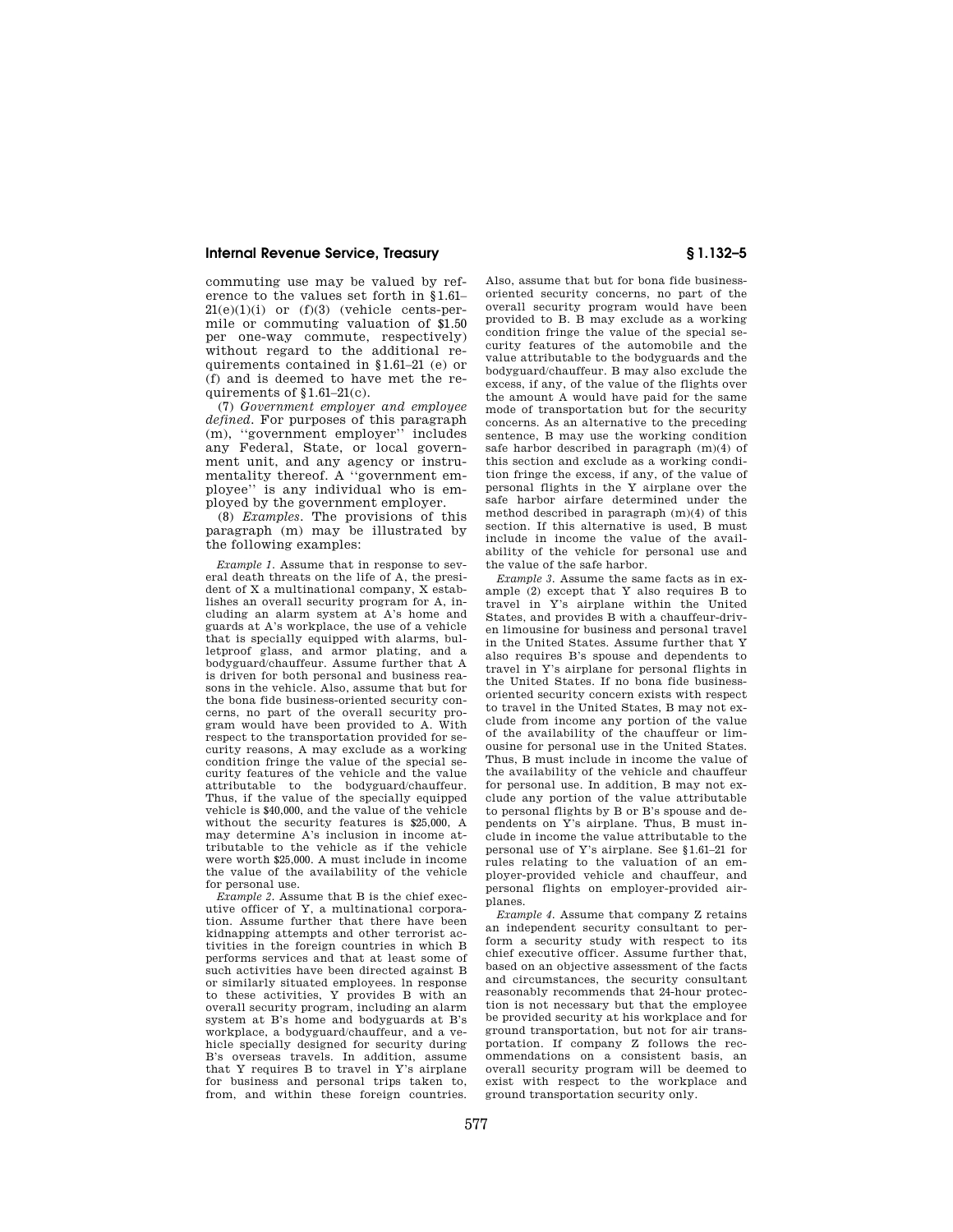commuting use may be valued by reference to the values set forth in §1.61–  $21(e)(1)(i)$  or  $(f)(3)$  (vehicle cents-permile or commuting valuation of \$1.50 per one-way commute, respectively) without regard to the additional requirements contained in §1.61–21 (e) or (f) and is deemed to have met the requirements of §1.61–21(c).

(7) *Government employer and employee defined.* For purposes of this paragraph (m), ''government employer'' includes any Federal, State, or local government unit, and any agency or instrumentality thereof. A ''government employee'' is any individual who is employed by the government employer.

(8) *Examples.* The provisions of this paragraph (m) may be illustrated by the following examples:

*Example 1.* Assume that in response to several death threats on the life of A, the president of X a multinational company, X establishes an overall security program for A, including an alarm system at A's home and guards at A's workplace, the use of a vehicle that is specially equipped with alarms, bulletproof glass, and armor plating, and a bodyguard/chauffeur. Assume further that A is driven for both personal and business reasons in the vehicle. Also, assume that but for the bona fide business-oriented security concerns, no part of the overall security program would have been provided to A. With respect to the transportation provided for security reasons, A may exclude as a working condition fringe the value of the special security features of the vehicle and the value attributable to the bodyguard/chauffeur. Thus, if the value of the specially equipped vehicle is \$40,000, and the value of the vehicle without the security features is \$25,000, A may determine A's inclusion in income attributable to the vehicle as if the vehicle were worth \$25,000. A must include in income the value of the availability of the vehicle for personal use.

*Example 2.* Assume that B is the chief executive officer of Y, a multinational corporation. Assume further that there have been kidnapping attempts and other terrorist activities in the foreign countries in which B performs services and that at least some of such activities have been directed against B or similarly situated employees. ln response to these activities, Y provides B with an overall security program, including an alarm system at B's home and bodyguards at B's workplace, a bodyguard/chauffeur, and a vehicle specially designed for security during B's overseas travels. In addition, assume that Y requires B to travel in Y's airplane for business and personal trips taken to, from, and within these foreign countries.

Also, assume that but for bona fide businessoriented security concerns, no part of the overall security program would have been provided to B. B may exclude as a working condition fringe the value of the special security features of the automobile and the value attributable to the bodyguards and the bodyguard/chauffeur. B may also exclude the excess, if any, of the value of the flights over the amount A would have paid for the same mode of transportation but for the security concerns. As an alternative to the preceding sentence, B may use the working condition safe harbor described in paragraph (m)(4) of this section and exclude as a working condition fringe the excess, if any, of the value of personal flights in the Y airplane over the safe harbor airfare determined under the method described in paragraph (m)(4) of this section. If this alternative is used, B must include in income the value of the availability of the vehicle for personal use and the value of the safe harbor.

*Example 3.* Assume the same facts as in example (2) except that Y also requires B to travel in Y's airplane within the United States, and provides B with a chauffeur-driven limousine for business and personal travel in the United States. Assume further that Y also requires B's spouse and dependents to travel in Y's airplane for personal flights in the United States. If no bona fide businessoriented security concern exists with respect to travel in the United States, B may not exclude from income any portion of the value of the availability of the chauffeur or limousine for personal use in the United States. Thus, B must include in income the value of the availability of the vehicle and chauffeur for personal use. In addition, B may not exclude any portion of the value attributable to personal flights by B or B's spouse and dependents on Y's airplane. Thus, B must include in income the value attributable to the personal use of Y's airplane. See §1.61–21 for rules relating to the valuation of an employer-provided vehicle and chauffeur, and personal flights on employer-provided airplanes.

*Example 4.* Assume that company Z retains an independent security consultant to perform a security study with respect to its chief executive officer. Assume further that, based on an objective assessment of the facts and circumstances, the security consultant reasonably recommends that 24-hour protection is not necessary but that the employee be provided security at his workplace and for ground transportation, but not for air transportation. If company Z follows the recommendations on a consistent basis, an overall security program will be deemed to exist with respect to the workplace and ground transportation security only.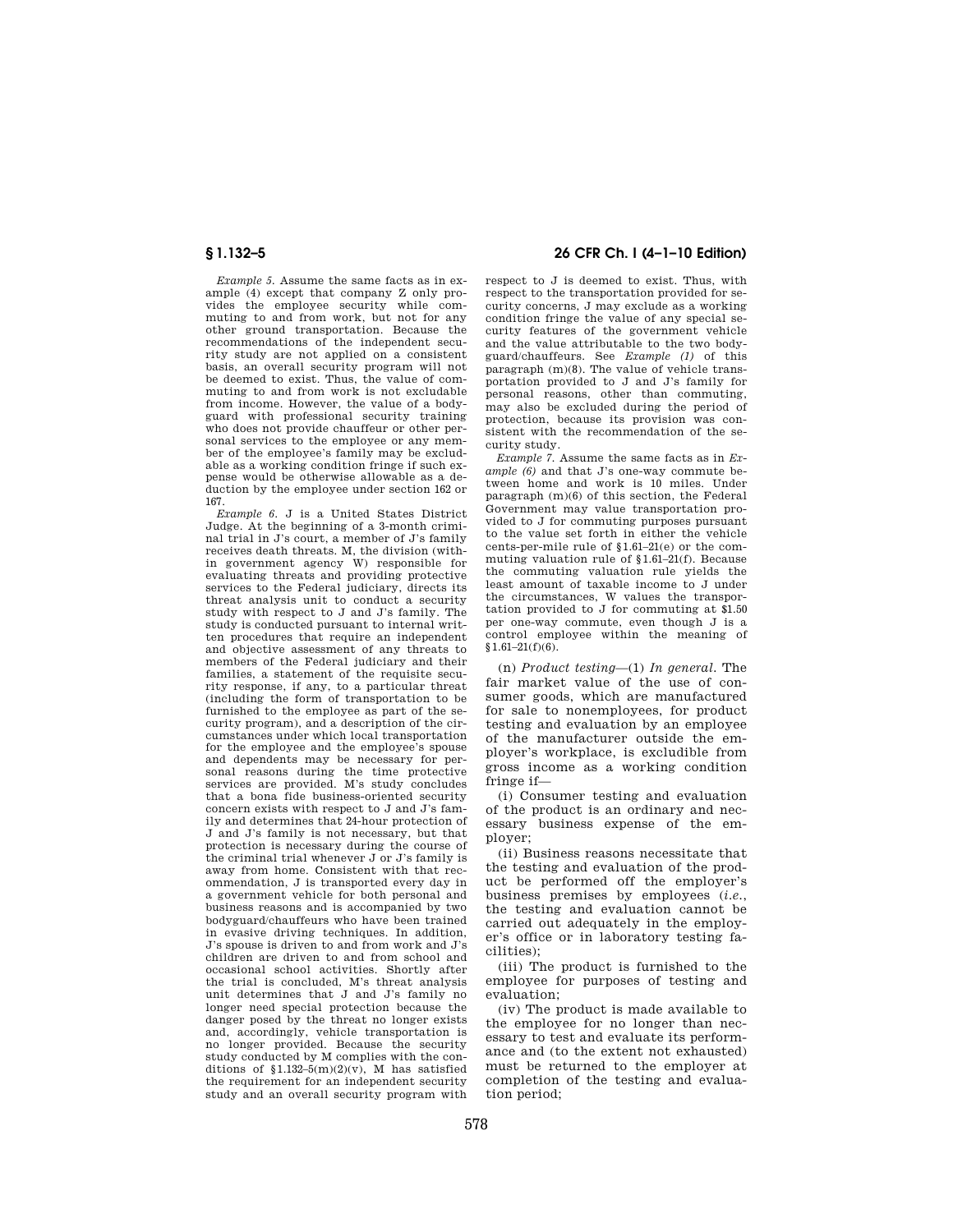*Example 5.* Assume the same facts as in example (4) except that company Z only provides the employee security while commuting to and from work, but not for any other ground transportation. Because the recommendations of the independent security study are not applied on a consistent basis, an overall security program will not be deemed to exist. Thus, the value of commuting to and from work is not excludable from income. However, the value of a bodyguard with professional security training who does not provide chauffeur or other personal services to the employee or any member of the employee's family may be excludable as a working condition fringe if such expense would be otherwise allowable as a deduction by the employee under section 162 or 167.

*Example 6.* J is a United States District Judge. At the beginning of a 3-month criminal trial in J's court, a member of J's family receives death threats. M, the division (within government agency W) responsible for evaluating threats and providing protective services to the Federal judiciary, directs its threat analysis unit to conduct a security study with respect to J and J's family. The study is conducted pursuant to internal written procedures that require an independent and objective assessment of any threats to members of the Federal judiciary and their families, a statement of the requisite security response, if any, to a particular threat (including the form of transportation to be furnished to the employee as part of the security program), and a description of the circumstances under which local transportation for the employee and the employee's spouse and dependents may be necessary for personal reasons during the time protective services are provided. M's study concludes that a bona fide business-oriented security concern exists with respect to J and J's family and determines that 24-hour protection of J and J's family is not necessary, but that protection is necessary during the course of the criminal trial whenever J or J's family is away from home. Consistent with that recommendation, J is transported every day in a government vehicle for both personal and business reasons and is accompanied by two bodyguard/chauffeurs who have been trained in evasive driving techniques. In addition, J's spouse is driven to and from work and J's children are driven to and from school and occasional school activities. Shortly after the trial is concluded, M's threat analysis unit determines that J and J's family no longer need special protection because the danger posed by the threat no longer exists and, accordingly, vehicle transportation is no longer provided. Because the security study conducted by M complies with the conditions of  $1.132-5(m)(2)(v)$ . M has satisfied the requirement for an independent security study and an overall security program with

# **§ 1.132–5 26 CFR Ch. I (4–1–10 Edition)**

respect to J is deemed to exist. Thus, with respect to the transportation provided for security concerns, J may exclude as a working condition fringe the value of any special security features of the government vehicle and the value attributable to the two bodyguard/chauffeurs. See *Example (1)* of this paragraph (m)(8). The value of vehicle transportation provided to J and J's family for personal reasons, other than commuting, may also be excluded during the period of protection, because its provision was consistent with the recommendation of the security study.

*Example 7.* Assume the same facts as in *Example (6)* and that J's one-way commute between home and work is 10 miles. Under paragraph (m)(6) of this section, the Federal Government may value transportation provided to J for commuting purposes pursuant to the value set forth in either the vehicle cents-per-mile rule of §1.61–21(e) or the commuting valuation rule of §1.61–21(f). Because the commuting valuation rule yields the least amount of taxable income to J under the circumstances, W values the transportation provided to J for commuting at \$1.50 per one-way commute, even though J is a control employee within the meaning of §1.61–21(f)(6).

(n) *Product testing*—(1) *In general.* The fair market value of the use of consumer goods, which are manufactured for sale to nonemployees, for product testing and evaluation by an employee of the manufacturer outside the employer's workplace, is excludible from gross income as a working condition fringe if—

(i) Consumer testing and evaluation of the product is an ordinary and necessary business expense of the employer;

(ii) Business reasons necessitate that the testing and evaluation of the product be performed off the employer's business premises by employees (*i.e.*, the testing and evaluation cannot be carried out adequately in the employer's office or in laboratory testing facilities);

(iii) The product is furnished to the employee for purposes of testing and evaluation;

(iv) The product is made available to the employee for no longer than necessary to test and evaluate its performance and (to the extent not exhausted) must be returned to the employer at completion of the testing and evaluation period;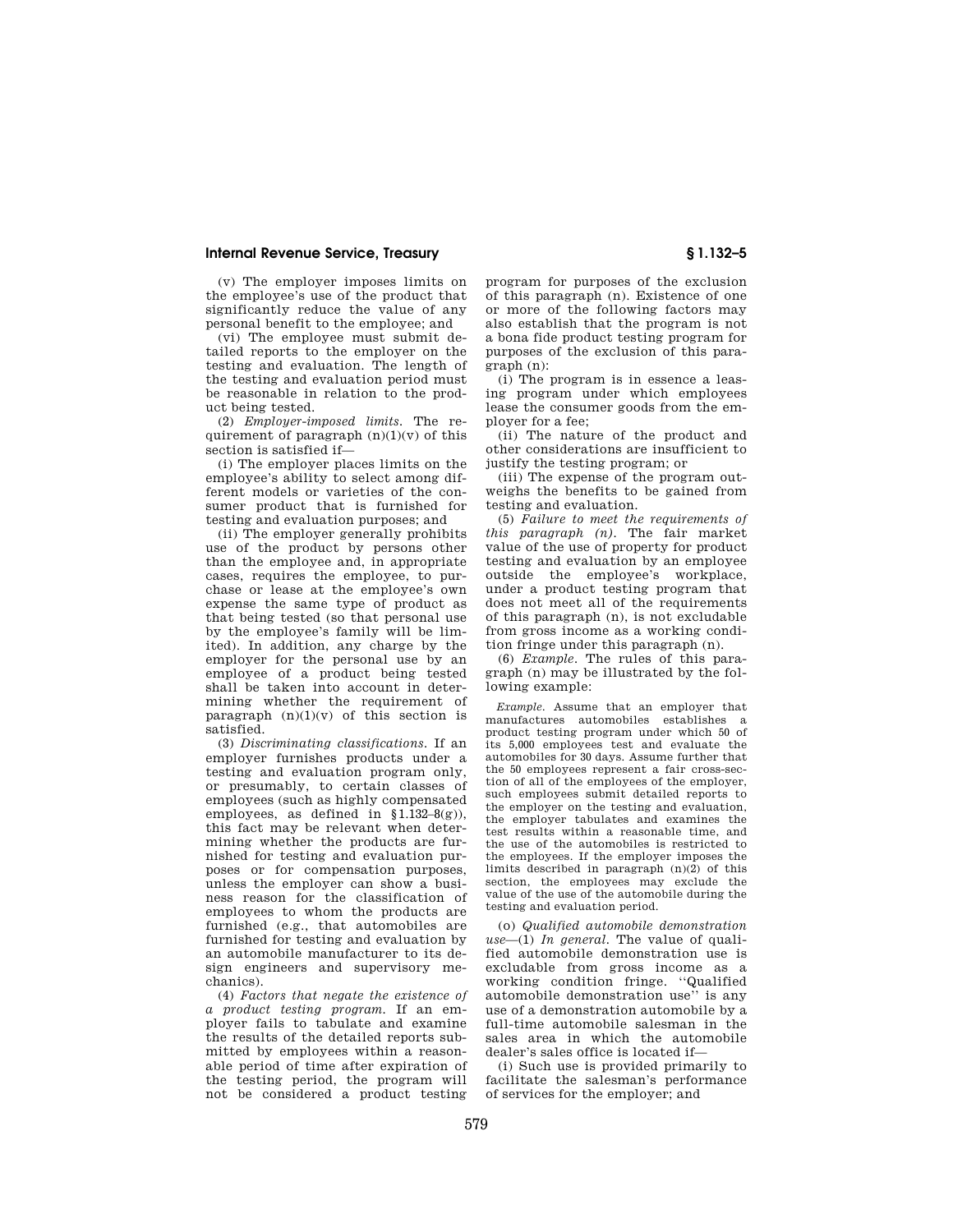(v) The employer imposes limits on the employee's use of the product that significantly reduce the value of any personal benefit to the employee; and

(vi) The employee must submit detailed reports to the employer on the testing and evaluation. The length of the testing and evaluation period must be reasonable in relation to the product being tested.

(2) *Employer-imposed limits.* The requirement of paragraph  $(n)(1)(v)$  of this section is satisfied if—

(i) The employer places limits on the employee's ability to select among different models or varieties of the consumer product that is furnished for testing and evaluation purposes; and

(ii) The employer generally prohibits use of the product by persons other than the employee and, in appropriate cases, requires the employee, to purchase or lease at the employee's own expense the same type of product as that being tested (so that personal use by the employee's family will be limited). In addition, any charge by the employer for the personal use by an employee of a product being tested shall be taken into account in determining whether the requirement of paragraph  $(n)(1)(v)$  of this section is satisfied.

(3) *Discriminating classifications.* If an employer furnishes products under a testing and evaluation program only, or presumably, to certain classes of employees (such as highly compensated employees, as defined in  $$1.132-8(g)$ ), this fact may be relevant when determining whether the products are furnished for testing and evaluation purposes or for compensation purposes, unless the employer can show a business reason for the classification of employees to whom the products are furnished (e.g., that automobiles are furnished for testing and evaluation by an automobile manufacturer to its design engineers and supervisory mechanics).

(4) *Factors that negate the existence of a product testing program.* If an employer fails to tabulate and examine the results of the detailed reports submitted by employees within a reasonable period of time after expiration of the testing period, the program will not be considered a product testing

program for purposes of the exclusion of this paragraph (n). Existence of one or more of the following factors may also establish that the program is not a bona fide product testing program for purposes of the exclusion of this paragraph (n):

(i) The program is in essence a leasing program under which employees lease the consumer goods from the employer for a fee;

(ii) The nature of the product and other considerations are insufficient to justify the testing program; or

(iii) The expense of the program outweighs the benefits to be gained from testing and evaluation.

(5) *Failure to meet the requirements of this paragraph (n).* The fair market value of the use of property for product testing and evaluation by an employee outside the employee's workplace, under a product testing program that does not meet all of the requirements of this paragraph (n), is not excludable from gross income as a working condition fringe under this paragraph (n).

(6) *Example.* The rules of this paragraph (n) may be illustrated by the following example:

*Example.* Assume that an employer that manufactures automobiles establishes a product testing program under which 50 of its 5,000 employees test and evaluate the automobiles for 30 days. Assume further that the 50 employees represent a fair cross-section of all of the employees of the employer, such employees submit detailed reports to the employer on the testing and evaluation, the employer tabulates and examines the test results within a reasonable time, and the use of the automobiles is restricted to the employees. If the employer imposes the limits described in paragraph (n)(2) of this section, the employees may exclude the value of the use of the automobile during the testing and evaluation period.

(o) *Qualified automobile demonstration use*—(1) *In general.* The value of qualified automobile demonstration use is excludable from gross income as a working condition fringe. ''Qualified automobile demonstration use'' is any use of a demonstration automobile by a full-time automobile salesman in the sales area in which the automobile dealer's sales office is located if—

(i) Such use is provided primarily to facilitate the salesman's performance of services for the employer; and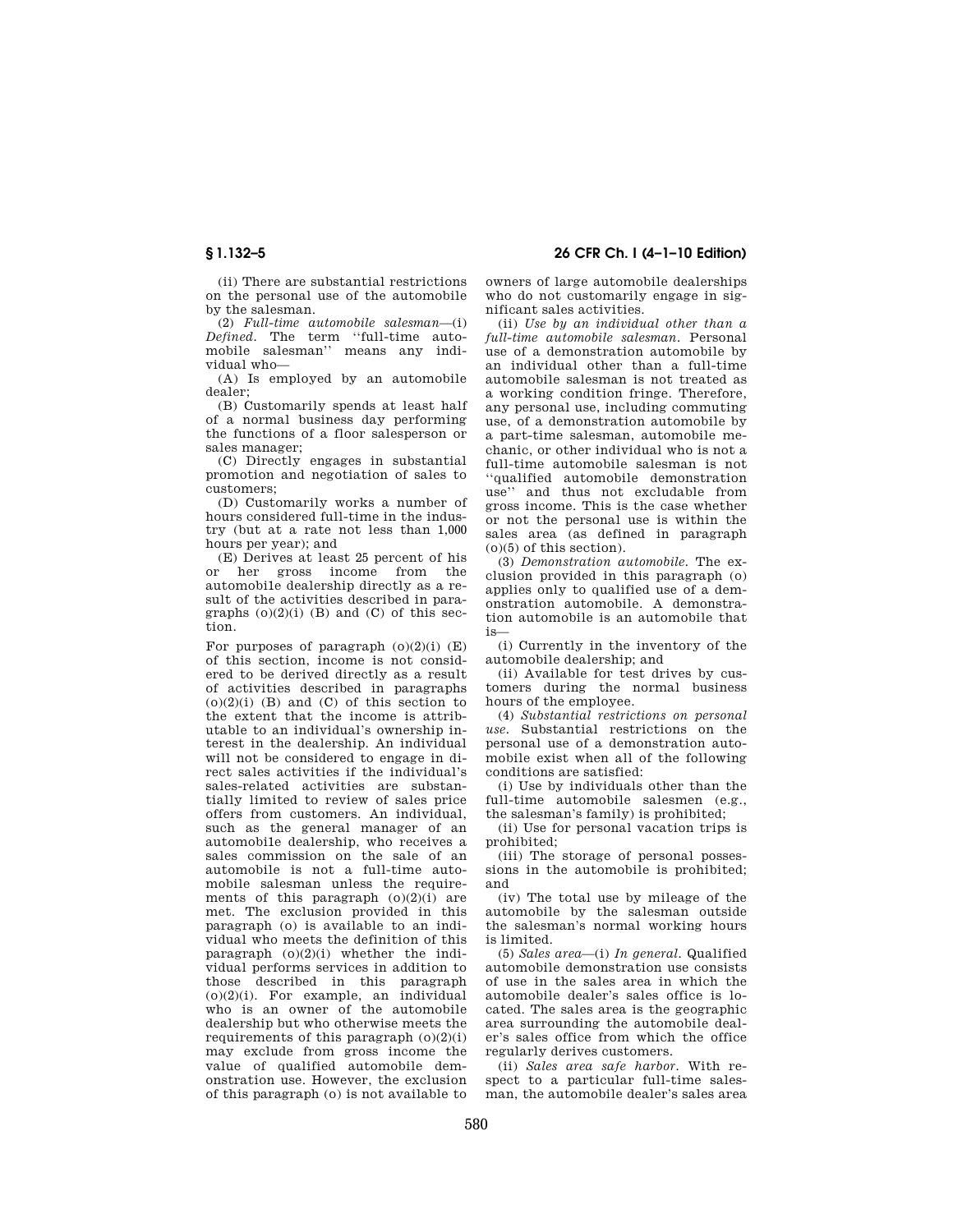(ii) There are substantial restrictions on the personal use of the automobile by the salesman.

(2) *Full-time automobile salesman*—(i) *Defined.* The term ''full-time automobile salesman'' means any individual who—

(A) Is employed by an automobile dealer;

(B) Customarily spends at least half of a normal business day performing the functions of a floor salesperson or sales manager;

(C) Directly engages in substantial promotion and negotiation of sales to customers;

(D) Customarily works a number of hours considered full-time in the industry (but at a rate not less than 1,000 hours per year); and

(E) Derives at least 25 percent of his or her gross income from the automobi1e dealership directly as a result of the activities described in paragraphs  $(0)(2)(i)$  (B) and (C) of this section.

For purposes of paragraph  $(o)(2)(i)$  (E) of this section, income is not considered to be derived directly as a result of activities described in paragraphs  $(0)(2)(i)$  (B) and (C) of this section to the extent that the income is attributable to an individual's ownership interest in the dealership. An individual will not be considered to engage in direct sales activities if the individual's sales-related activities are substantially limited to review of sales price offers from customers. An individual, such as the general manager of an automobi1e dealership, who receives a sales commission on the sale of an automobile is not a full-time automobile salesman unless the requirements of this paragraph  $(0)(2)(i)$  are met. The exclusion provided in this paragraph (o) is available to an individual who meets the definition of this paragraph  $(0)(2)(i)$  whether the individual performs services in addition to those described in this paragraph (o)(2)(i). For example, an individual who is an owner of the automobile dealership but who otherwise meets the requirements of this paragraph  $(0)(2)(i)$ may exclude from gross income the value of qualified automobile demonstration use. However, the exclusion of this paragraph (o) is not available to

**§ 1.132–5 26 CFR Ch. I (4–1–10 Edition)** 

owners of large automobile dealerships who do not customarily engage in significant sales activities.

(ii) *Use by an individual other than a full-time automobile salesman.* Personal use of a demonstration automobile by an individual other than a full-time automobile salesman is not treated as a working condition fringe. Therefore, any personal use, including commuting use, of a demonstration automobile by a part-time salesman, automobile mechanic, or other individual who is not a full-time automobile salesman is not ''qualified automobile demonstration use'' and thus not excludable from gross income. This is the case whether or not the personal use is within the sales area (as defined in paragraph (o)(5) of this section).

(3) *Demonstration automobile.* The exclusion provided in this paragraph (o) applies only to qualified use of a demonstration automobile. A demonstration automobile is an automobile that is—

(i) Currently in the inventory of the automobile dealership; and

(ii) Available for test drives by customers during the normal business hours of the employee.

(4) *Substantial restrictions on personal use.* Substantial restrictions on the personal use of a demonstration automobile exist when all of the following conditions are satisfied:

(i) Use by individuals other than the full-time automobile salesmen (e.g., the salesman's family) is prohibited;

(ii) Use for personal vacation trips is prohibited;

(iii) The storage of personal possessions in the automobile is prohibited; and

(iv) The total use by mileage of the automobile by the salesman outside the salesman's normal working hours is limited.

(5) *Sales area*—(i) *In general.* Qualified automobile demonstration use consists of use in the sales area in which the automobile dealer's sales office is located. The sales area is the geographic area surrounding the automobile dealer's sales office from which the office regularly derives customers.

(ii) *Sales area safe harbor.* With respect to a particular full-time salesman, the automobile dealer's sales area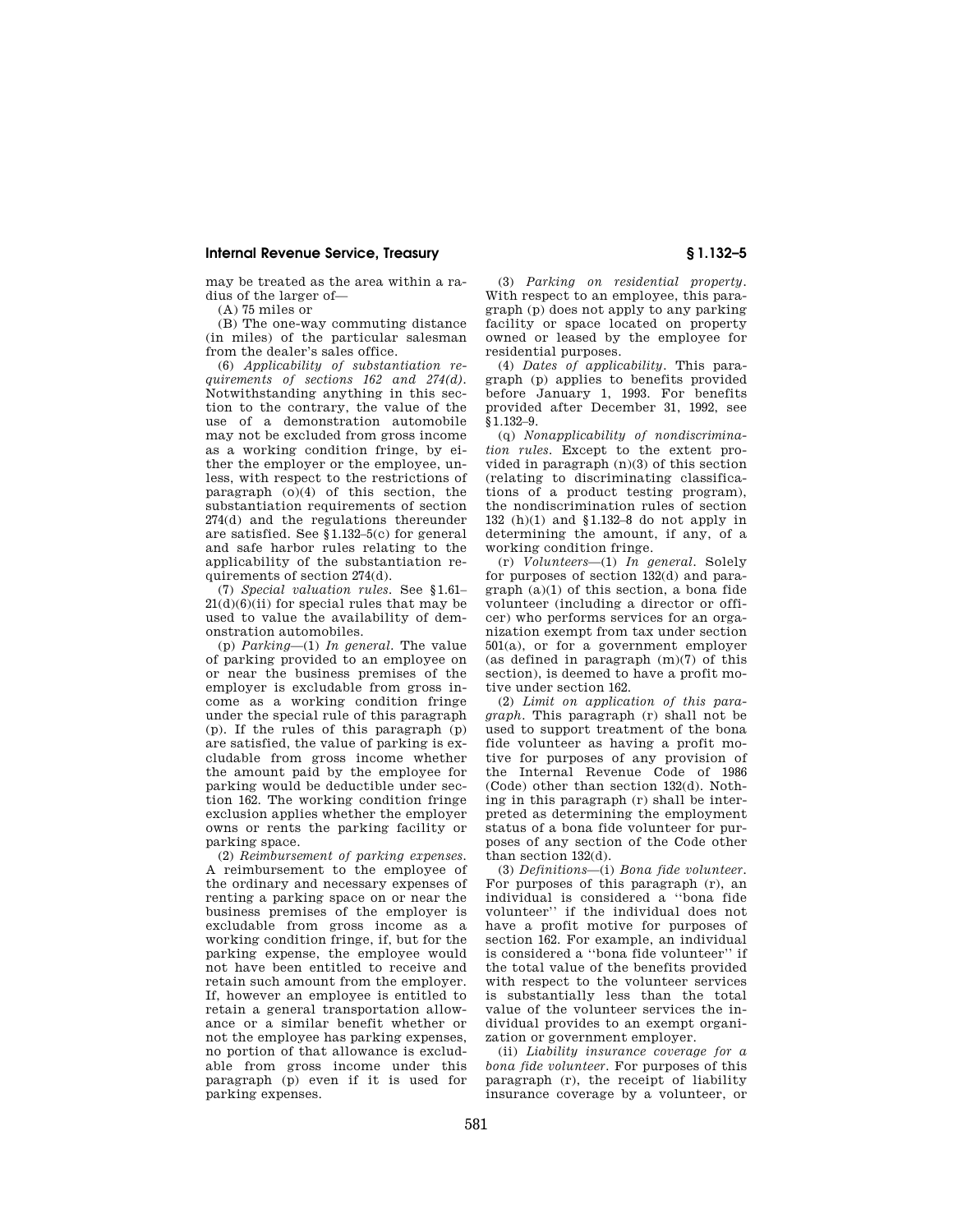may be treated as the area within a radius of the larger of—

(A) 75 miles or

(B) The one-way commuting distance (in miles) of the particular salesman from the dealer's sales office.

(6) *Applicability of substantiation requirements of sections 162 and 274(d).*  Notwithstanding anything in this section to the contrary, the value of the use of a demonstration automobile may not be excluded from gross income as a working condition fringe, by either the employer or the employee, unless, with respect to the restrictions of paragraph  $(0)(4)$  of this section, the substantiation requirements of section 274(d) and the regulations thereunder are satisfied. See §1.132–5(c) for general and safe harbor rules relating to the applicability of the substantiation requirements of section 274(d).

(7) *Special valuation rules.* See §1.61–  $21(d)(6)(ii)$  for special rules that may be used to value the availability of demonstration automobiles.

(p) *Parking*—(1) *In general.* The value of parking provided to an employee on or near the business premises of the employer is excludable from gross income as a working condition fringe under the special rule of this paragraph (p). If the rules of this paragraph (p) are satisfied, the value of parking is excludable from gross income whether the amount paid by the employee for parking would be deductible under section 162. The working condition fringe exclusion applies whether the employer owns or rents the parking facility or parking space.

(2) *Reimbursement of parking expenses.*  A reimbursement to the employee of the ordinary and necessary expenses of renting a parking space on or near the business premises of the employer is excludable from gross income as a working condition fringe, if, but for the parking expense, the employee would not have been entitled to receive and retain such amount from the employer. If, however an employee is entitled to retain a general transportation allowance or a similar benefit whether or not the employee has parking expenses, no portion of that allowance is excludable from gross income under this paragraph (p) even if it is used for parking expenses.

(3) *Parking on residential property.*  With respect to an employee, this paragraph (p) does not apply to any parking facility or space located on property owned or leased by the employee for residential purposes.

(4) *Dates of applicability.* This paragraph (p) applies to benefits provided before January 1, 1993. For benefits provided after December 31, 1992, see §1.132–9.

(q) *Nonapplicability of nondiscrimination rules.* Except to the extent provided in paragraph (n)(3) of this section (relating to discriminating classifications of a product testing program), the nondiscrimination rules of section 132 (h)(1) and §1.132–8 do not apply in determining the amount, if any, of a working condition fringe.

(r) *Volunteers*—(1) *In general.* Solely for purposes of section 132(d) and paragraph (a)(1) of this section, a bona fide volunteer (including a director or officer) who performs services for an organization exempt from tax under section 501(a), or for a government employer (as defined in paragraph (m)(7) of this section), is deemed to have a profit motive under section 162.

(2) *Limit on application of this paragraph.* This paragraph (r) shall not be used to support treatment of the bona fide volunteer as having a profit motive for purposes of any provision of the Internal Revenue Code of 1986 (Code) other than section 132(d). Nothing in this paragraph (r) shall be interpreted as determining the employment status of a bona fide volunteer for purposes of any section of the Code other than section 132(d).

(3) *Definitions*—(i) *Bona fide volunteer.*  For purposes of this paragraph (r), an individual is considered a ''bona fide volunteer'' if the individual does not have a profit motive for purposes of section 162. For example, an individual is considered a ''bona fide volunteer'' if the total value of the benefits provided with respect to the volunteer services is substantially less than the total value of the volunteer services the individual provides to an exempt organization or government employer.

(ii) *Liability insurance coverage for a bona fide volunteer.* For purposes of this paragraph (r), the receipt of liability insurance coverage by a volunteer, or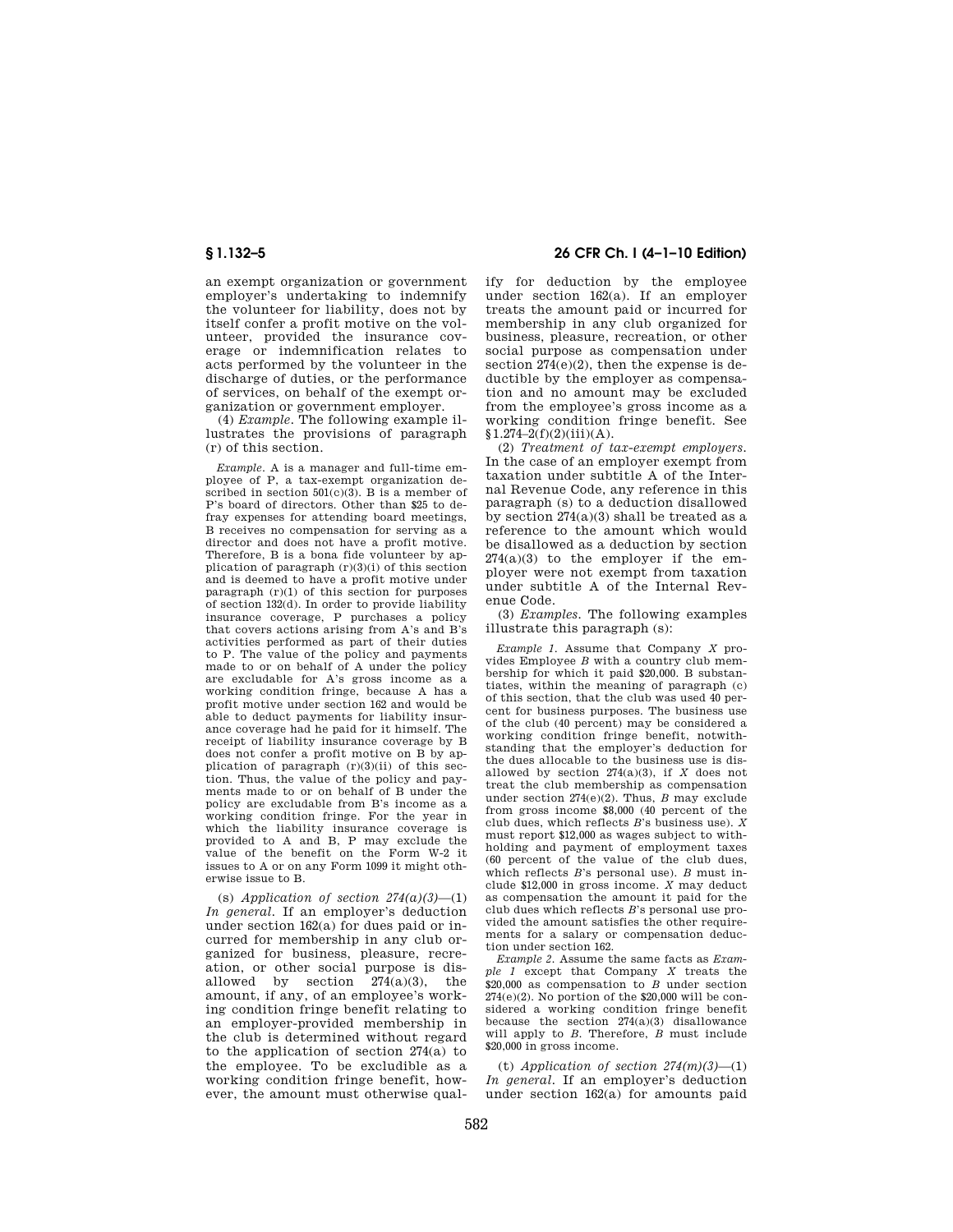an exempt organization or government employer's undertaking to indemnify the volunteer for liability, does not by itself confer a profit motive on the volunteer, provided the insurance coverage or indemnification relates to acts performed by the volunteer in the discharge of duties, or the performance of services, on behalf of the exempt organization or government employer.

(4) *Example.* The following example illustrates the provisions of paragraph (r) of this section.

*Example.* A is a manager and full-time employee of P, a tax-exempt organization described in section 501(c)(3). B is a member of P's board of directors. Other than \$25 to defray expenses for attending board meetings, B receives no compensation for serving as a director and does not have a profit motive. Therefore, B is a bona fide volunteer by application of paragraph  $(r)(3)(i)$  of this section and is deemed to have a profit motive under paragraph  $(r)(1)$  of this section for purposes of section 132(d). In order to provide liability insurance coverage, P purchases a policy that covers actions arising from A's and B's activities performed as part of their duties to P. The value of the policy and payments made to or on behalf of A under the policy are excludable for A's gross income as a working condition fringe, because A has a profit motive under section 162 and would be able to deduct payments for liability insurance coverage had he paid for it himself. The receipt of liability insurance coverage by B does not confer a profit motive on B by application of paragraph (r)(3)(ii) of this section. Thus, the value of the policy and payments made to or on behalf of B under the policy are excludable from B's income as a working condition fringe. For the year in which the liability insurance coverage is provided to A and B, P may exclude the value of the benefit on the Form W-2 it issues to A or on any Form 1099 it might otherwise issue to B.

(s) *Application of section*  $274(a)(3)$ —(1) *In general.* If an employer's deduction under section 162(a) for dues paid or incurred for membership in any club organized for business, pleasure, recreation, or other social purpose is disallowed by section  $274(a)(3)$ , the amount, if any, of an employee's working condition fringe benefit relating to an employer-provided membership in the club is determined without regard to the application of section  $274(a)$  to the employee. To be excludible as a working condition fringe benefit, however, the amount must otherwise qual-

# **§ 1.132–5 26 CFR Ch. I (4–1–10 Edition)**

ify for deduction by the employee under section 162(a). If an employer treats the amount paid or incurred for membership in any club organized for business, pleasure, recreation, or other social purpose as compensation under section  $274(e)(2)$ , then the expense is deductible by the employer as compensation and no amount may be excluded from the employee's gross income as a working condition fringe benefit. See  $$1.274-2(f)(2)(iii)(A).$ 

(2) *Treatment of tax-exempt employers.*  In the case of an employer exempt from taxation under subtitle A of the Internal Revenue Code, any reference in this paragraph (s) to a deduction disallowed by section 274(a)(3) shall be treated as a reference to the amount which would be disallowed as a deduction by section  $274(a)(3)$  to the employer if the employer were not exempt from taxation under subtitle A of the Internal Revenue Code.

(3) *Examples.* The following examples illustrate this paragraph (s):

*Example 1.* Assume that Company *X* provides Employee *B* with a country club membership for which it paid \$20,000. B substantiates, within the meaning of paragraph (c) of this section, that the club was used 40 percent for business purposes. The business use of the club (40 percent) may be considered a working condition fringe benefit, notwithstanding that the employer's deduction for the dues allocable to the business use is disallowed by section  $274(a)(3)$ , if *X* does not treat the club membership as compensation under section 274(e)(2). Thus, *B* may exclude from gross income \$8,000 (40 percent of the club dues, which reflects *B*'s business use). *X*  must report \$12,000 as wages subject to withholding and payment of employment taxes (60 percent of the value of the club dues, which reflects *B*'s personal use). *B* must include \$12,000 in gross income. *X* may deduct as compensation the amount it paid for the club dues which reflects *B*'s personal use provided the amount satisfies the other requirements for a salary or compensation deduction under section 162.

*Example 2.* Assume the same facts as *Example 1* except that Company *X* treats the \$20,000 as compensation to *B* under section  $274(e)(2)$ . No portion of the \$20,000 will be considered a working condition fringe benefit because the section 274(a)(3) disallowance will apply to *B.* Therefore, *B* must include \$20,000 in gross income.

(t) *Application of section 274(m)(3)*—(1) *In general.* If an employer's deduction under section 162(a) for amounts paid